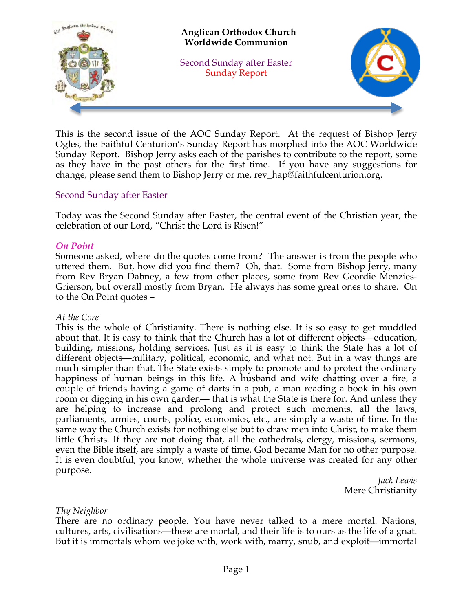

This is the second issue of the AOC Sunday Report. At the request of Bishop Jerry Ogles, the Faithful Centurion's Sunday Report has morphed into the AOC Worldwide Sunday Report. Bishop Jerry asks each of the parishes to contribute to the report, some as they have in the past others for the first time. If you have any suggestions for change, please send them to Bishop Jerry or me, rev\_hap@faithfulcenturion.org.

### Second Sunday after Easter

Today was the Second Sunday after Easter, the central event of the Christian year, the celebration of our Lord, "Christ the Lord is Risen!"

### *On Point*

Someone asked, where do the quotes come from? The answer is from the people who uttered them. But, how did you find them? Oh, that. Some from Bishop Jerry, many from Rev Bryan Dabney, a few from other places, some from Rev Geordie Menzies-Grierson, but overall mostly from Bryan. He always has some great ones to share. On to the On Point quotes –

### *At the Core*

This is the whole of Christianity. There is nothing else. It is so easy to get muddled about that. It is easy to think that the Church has a lot of different objects—education, building, missions, holding services. Just as it is easy to think the State has a lot of different objects—military, political, economic, and what not. But in a way things are much simpler than that. The State exists simply to promote and to protect the ordinary happiness of human beings in this life. A husband and wife chatting over a fire, a couple of friends having a game of darts in a pub, a man reading a book in his own room or digging in his own garden— that is what the State is there for. And unless they are helping to increase and prolong and protect such moments, all the laws, parliaments, armies, courts, police, economics, etc., are simply a waste of time. In the same way the Church exists for nothing else but to draw men into Christ, to make them little Christs. If they are not doing that, all the cathedrals, clergy, missions, sermons, even the Bible itself, are simply a waste of time. God became Man for no other purpose. It is even doubtful, you know, whether the whole universe was created for any other purpose.

*Jack Lewis* Mere Christianity

### *Thy Neighbor*

There are no ordinary people. You have never talked to a mere mortal. Nations, cultures, arts, civilisations—these are mortal, and their life is to ours as the life of a gnat. But it is immortals whom we joke with, work with, marry, snub, and exploit—immortal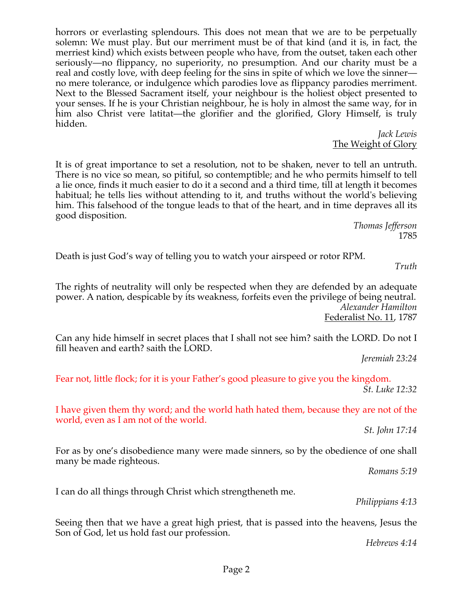horrors or everlasting splendours. This does not mean that we are to be perpetually solemn: We must play. But our merriment must be of that kind (and it is, in fact, the merriest kind) which exists between people who have, from the outset, taken each other seriously—no flippancy, no superiority, no presumption. And our charity must be a real and costly love, with deep feeling for the sins in spite of which we love the sinner no mere tolerance, or indulgence which parodies love as flippancy parodies merriment. Next to the Blessed Sacrament itself, your neighbour is the holiest object presented to your senses. If he is your Christian neighbour, he is holy in almost the same way, for in him also Christ vere latitat—the glorifier and the glorified, Glory Himself, is truly hidden.

*Jack Lewis* The Weight of Glory

It is of great importance to set a resolution, not to be shaken, never to tell an untruth. There is no vice so mean, so pitiful, so contemptible; and he who permits himself to tell a lie once, finds it much easier to do it a second and a third time, till at length it becomes habitual; he tells lies without attending to it, and truths without the world's believing him. This falsehood of the tongue leads to that of the heart, and in time depraves all its good disposition.

> *Thomas Jefferson*  1785

Death is just God's way of telling you to watch your airspeed or rotor RPM.

*Truth*

The rights of neutrality will only be respected when they are defended by an adequate power. A nation, despicable by its weakness, forfeits even the privilege of being neutral. *Alexander Hamilton* Federalist No. 11, 1787

Can any hide himself in secret places that I shall not see him? saith the LORD. Do not I fill heaven and earth? saith the LORD.

*Jeremiah 23:24* 

Fear not, little flock; for it is your Father's good pleasure to give you the kingdom. *St. Luke 12:32* 

I have given them thy word; and the world hath hated them, because they are not of the world, even as I am not of the world.

*St. John 17:14* 

For as by one's disobedience many were made sinners, so by the obedience of one shall many be made righteous.

*Romans 5:19* 

I can do all things through Christ which strengtheneth me.

*Philippians 4:13* 

Seeing then that we have a great high priest, that is passed into the heavens, Jesus the Son of God, let us hold fast our profession.

*Hebrews 4:14*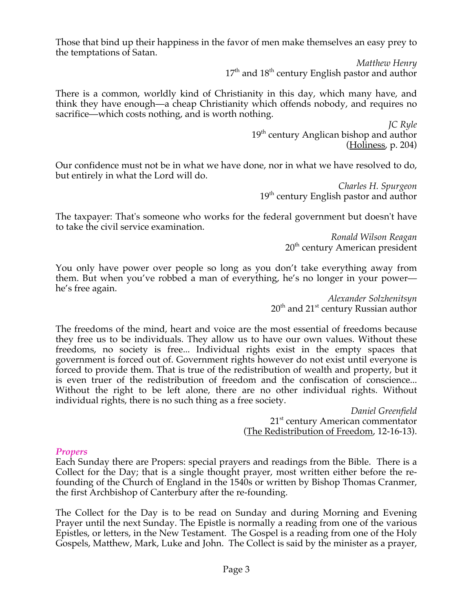Those that bind up their happiness in the favor of men make themselves an easy prey to the temptations of Satan.

> *Matthew Henry*  $17<sup>th</sup>$  and  $18<sup>th</sup>$  century English pastor and author

There is a common, worldly kind of Christianity in this day, which many have, and think they have enough—a cheap Christianity which offends nobody, and requires no sacrifice—which costs nothing, and is worth nothing.

> *JC Ryle* 19<sup>th</sup> century Anglican bishop and author (Holiness, p. 204)

Our confidence must not be in what we have done, nor in what we have resolved to do, but entirely in what the Lord will do.

> *Charles H. Spurgeon* 19<sup>th</sup> century English pastor and author

The taxpayer: That's someone who works for the federal government but doesn't have to take the civil service examination.

> *Ronald Wilson Reagan*  $20<sup>th</sup>$  century American president

You only have power over people so long as you don't take everything away from them. But when you've robbed a man of everything, he's no longer in your power he's free again.

> *Alexander Solzhenitsyn* 20<sup>th</sup> and 21<sup>st</sup> century Russian author

The freedoms of the mind, heart and voice are the most essential of freedoms because they free us to be individuals. They allow us to have our own values. Without these freedoms, no society is free... Individual rights exist in the empty spaces that government is forced out of. Government rights however do not exist until everyone is forced to provide them. That is true of the redistribution of wealth and property, but it is even truer of the redistribution of freedom and the confiscation of conscience... Without the right to be left alone, there are no other individual rights. Without individual rights, there is no such thing as a free society.

*Daniel Greenfield* 21<sup>st</sup> century American commentator (The Redistribution of Freedom, 12-16-13).

### *Propers*

Each Sunday there are Propers: special prayers and readings from the Bible. There is a Collect for the Day; that is a single thought prayer, most written either before the refounding of the Church of England in the 1540s or written by Bishop Thomas Cranmer, the first Archbishop of Canterbury after the re-founding.

The Collect for the Day is to be read on Sunday and during Morning and Evening Prayer until the next Sunday. The Epistle is normally a reading from one of the various Epistles, or letters, in the New Testament. The Gospel is a reading from one of the Holy Gospels, Matthew, Mark, Luke and John. The Collect is said by the minister as a prayer,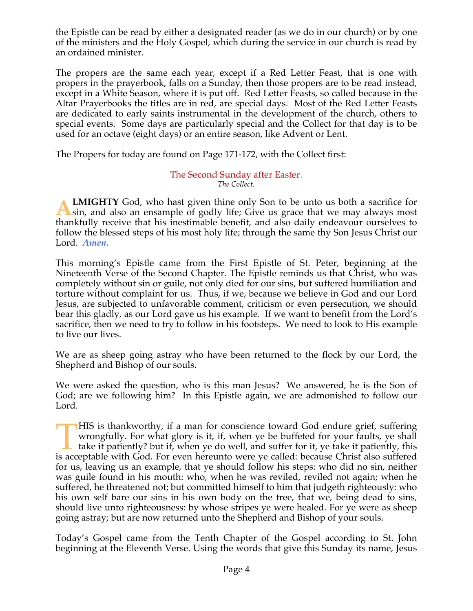the Epistle can be read by either a designated reader (as we do in our church) or by one of the ministers and the Holy Gospel, which during the service in our church is read by an ordained minister.

The propers are the same each year, except if a Red Letter Feast, that is one with propers in the prayerbook, falls on a Sunday, then those propers are to be read instead, except in a White Season, where it is put off. Red Letter Feasts, so called because in the Altar Prayerbooks the titles are in red, are special days. Most of the Red Letter Feasts are dedicated to early saints instrumental in the development of the church, others to special events. Some days are particularly special and the Collect for that day is to be used for an octave (eight days) or an entire season, like Advent or Lent.

The Propers for today are found on Page 171-172, with the Collect first:

#### The Second Sunday after Easter. *The Collect.*

**LMIGHTY** God, who hast given thine only Son to be unto us both a sacrifice for **A LMIGHTY** God, who hast given thine only Son to be unto us both a sacrifice for sin, and also an ensample of godly life; Give us grace that we may always most thankfully receive that his inestimable benefit, and also daily endeavour ourselves to follow the blessed steps of his most holy life; through the same thy Son Jesus Christ our Lord. *Amen.*

This morning's Epistle came from the First Epistle of St. Peter, beginning at the Nineteenth Verse of the Second Chapter. The Epistle reminds us that Christ, who was completely without sin or guile, not only died for our sins, but suffered humiliation and torture without complaint for us. Thus, if we, because we believe in God and our Lord Jesus, are subjected to unfavorable comment, criticism or even persecution, we should bear this gladly, as our Lord gave us his example. If we want to benefit from the Lord's sacrifice, then we need to try to follow in his footsteps. We need to look to His example to live our lives.

We are as sheep going astray who have been returned to the flock by our Lord, the Shepherd and Bishop of our souls.

We were asked the question, who is this man Jesus? We answered, he is the Son of God; are we following him? In this Epistle again, we are admonished to follow our Lord.

HIS is thankworthy, if a man for conscience toward God endure grief, suffering wrongfully. For what glory is it, if, when ye be buffeted for your faults, ye shall take it patiently? but if, when ye do well, and suffer for it, ye take it patiently, this HIS is thankworthy, if a man for conscience toward God endure grief, suffering wrongfully. For what glory is it, if, when ye be buffeted for your faults, ye shall take it patiently? but if, when ye do well, and suffer for for us, leaving us an example, that ye should follow his steps: who did no sin, neither was guile found in his mouth: who, when he was reviled, reviled not again; when he suffered, he threatened not; but committed himself to him that judgeth righteously: who his own self bare our sins in his own body on the tree, that we, being dead to sins, should live unto righteousness: by whose stripes ye were healed. For ye were as sheep going astray; but are now returned unto the Shepherd and Bishop of your souls.

Today's Gospel came from the Tenth Chapter of the Gospel according to St. John beginning at the Eleventh Verse. Using the words that give this Sunday its name, Jesus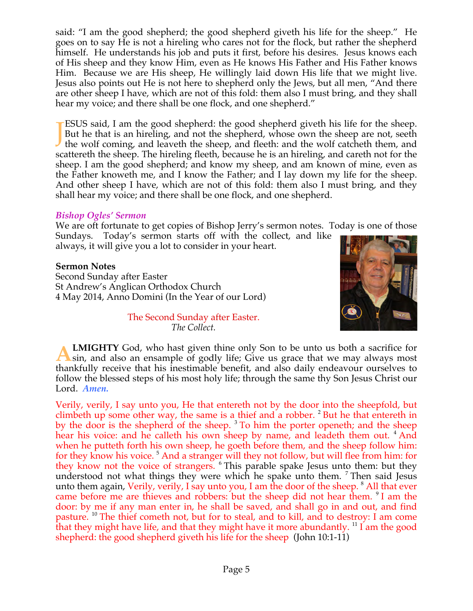said: "I am the good shepherd; the good shepherd giveth his life for the sheep." He goes on to say He is not a hireling who cares not for the flock, but rather the shepherd himself. He understands his job and puts it first, before his desires. Jesus knows each of His sheep and they know Him, even as He knows His Father and His Father knows Him. Because we are His sheep, He willingly laid down His life that we might live. Jesus also points out He is not here to shepherd only the Jews, but all men, "And there are other sheep I have, which are not of this fold: them also I must bring, and they shall hear my voice; and there shall be one flock, and one shepherd."

ESUS said, I am the good shepherd: the good shepherd giveth his life for the sheep. But he that is an hireling, and not the shepherd, whose own the sheep are not, seeth **TESUS** said, I am the good shepherd: the good shepherd giveth his life for the sheep.<br>But he that is an hireling, and not the shepherd, whose own the sheep are not, seeth the wolf coming, and leaveth the sheep, and fleeth scattereth the sheep. The hireling fleeth, because he is an hireling, and careth not for the sheep. I am the good shepherd; and know my sheep, and am known of mine, even as the Father knoweth me, and I know the Father; and I lay down my life for the sheep. And other sheep I have, which are not of this fold: them also I must bring, and they shall hear my voice; and there shall be one flock, and one shepherd.

### *Bishop Ogles' Sermon*

We are oft fortunate to get copies of Bishop Jerry's sermon notes. Today is one of those Sundays. Today's sermon starts off with the collect, and like always, it will give you a lot to consider in your heart.

**Sermon Notes** Second Sunday after Easter St Andrew's Anglican Orthodox Church 4 May 2014, Anno Domini (In the Year of our Lord)



The Second Sunday after Easter. *The Collect.*

**LMIGHTY** God, who hast given thine only Son to be unto us both a sacrifice for **ALMIGHTY** God, who hast given thine only Son to be unto us both a sacrifice for sin, and also an ensample of godly life; Give us grace that we may always most thankfully receive that his inestimable benefit, and also daily endeavour ourselves to follow the blessed steps of his most holy life; through the same thy Son Jesus Christ our Lord. *Amen.*

Verily, verily, I say unto you, He that entereth not by the door into the sheepfold, but climbeth up some other way, the same is a thief and a robber. <sup>2</sup> But he that entereth in by the door is the shepherd of the sheep.  $3$  To him the porter openeth; and the sheep hear his voice: and he calleth his own sheep by name, and leadeth them out. <sup>4</sup> And when he putteth forth his own sheep, he goeth before them, and the sheep follow him: for they know his voice.<sup>5</sup> And a stranger will they not follow, but will flee from him: for they know not the voice of strangers. <sup>6</sup> This parable spake Jesus unto them: but they understood not what things they were which he spake unto them. <sup>7</sup> Then said Jesus unto them again, Verily, verily, I say unto you, I am the door of the sheep. <sup>8</sup> All that ever came before me are thieves and robbers: but the sheep did not hear them. <sup>9</sup> I am the door: by me if any man enter in, he shall be saved, and shall go in and out, and find pasture. <sup>10</sup> The thief cometh not, but for to steal, and to kill, and to destroy: I am come that they might have life, and that they might have it more abundantly.  $^{11}$  I am the good shepherd: the good shepherd giveth his life for the sheep (John 10:1-11)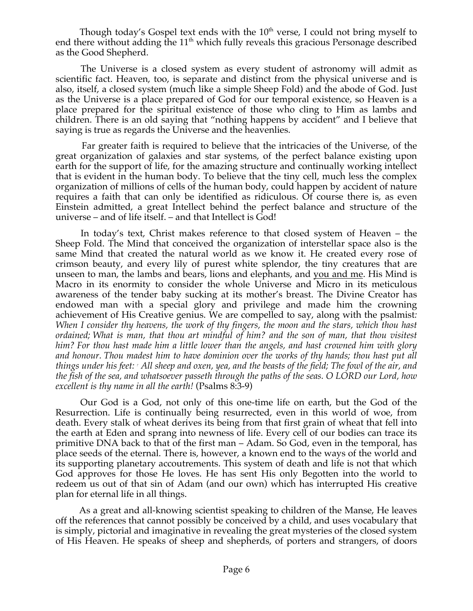Though today's Gospel text ends with the  $10<sup>th</sup>$  verse, I could not bring myself to end there without adding the  $11<sup>th</sup>$  which fully reveals this gracious Personage described as the Good Shepherd.

 The Universe is a closed system as every student of astronomy will admit as scientific fact. Heaven, too, is separate and distinct from the physical universe and is also, itself, a closed system (much like a simple Sheep Fold) and the abode of God. Just as the Universe is a place prepared of God for our temporal existence, so Heaven is a place prepared for the spiritual existence of those who cling to Him as lambs and children. There is an old saying that "nothing happens by accident" and I believe that saying is true as regards the Universe and the heavenlies.

 Far greater faith is required to believe that the intricacies of the Universe, of the great organization of galaxies and star systems, of the perfect balance existing upon earth for the support of life, for the amazing structure and continually working intellect that is evident in the human body. To believe that the tiny cell, much less the complex organization of millions of cells of the human body, could happen by accident of nature requires a faith that can only be identified as ridiculous. Of course there is, as even Einstein admitted, a great Intellect behind the perfect balance and structure of the universe – and of life itself. – and that Intellect is God!

 In today's text, Christ makes reference to that closed system of Heaven – the Sheep Fold. The Mind that conceived the organization of interstellar space also is the same Mind that created the natural world as we know it. He created every rose of crimson beauty, and every lily of purest white splendor, the tiny creatures that are unseen to man, the lambs and bears, lions and elephants, and you and me. His Mind is Macro in its enormity to consider the whole Universe and Micro in its meticulous awareness of the tender baby sucking at its mother's breast. The Divine Creator has endowed man with a special glory and privilege and made him the crowning achievement of His Creative genius. We are compelled to say, along with the psalmist*: When I consider thy heavens, the work of thy fingers, the moon and the stars, which thou hast ordained; What is man, that thou art mindful of him? and the son of man, that thou visitest him? For thou hast made him a little lower than the angels, and hast crowned him with glory and honour. Thou madest him to have dominion over the works of thy hands; thou hast put all things under his feet: 7 All sheep and oxen, yea, and the beasts of the field; The fowl of the air, and the fish of the sea, and whatsoever passeth through the paths of the seas. O LORD our Lord, how excellent is thy name in all the earth!* (Psalms 8:3-9)

 Our God is a God, not only of this one-time life on earth, but the God of the Resurrection. Life is continually being resurrected, even in this world of woe, from death. Every stalk of wheat derives its being from that first grain of wheat that fell into the earth at Eden and sprang into newness of life. Every cell of our bodies can trace its primitive DNA back to that of the first man – Adam. So God, even in the temporal, has place seeds of the eternal. There is, however, a known end to the ways of the world and its supporting planetary accoutrements. This system of death and life is not that which God approves for those He loves. He has sent His only Begotten into the world to redeem us out of that sin of Adam (and our own) which has interrupted His creative plan for eternal life in all things.

 As a great and all-knowing scientist speaking to children of the Manse, He leaves off the references that cannot possibly be conceived by a child, and uses vocabulary that is simply, pictorial and imaginative in revealing the great mysteries of the closed system of His Heaven. He speaks of sheep and shepherds, of porters and strangers, of doors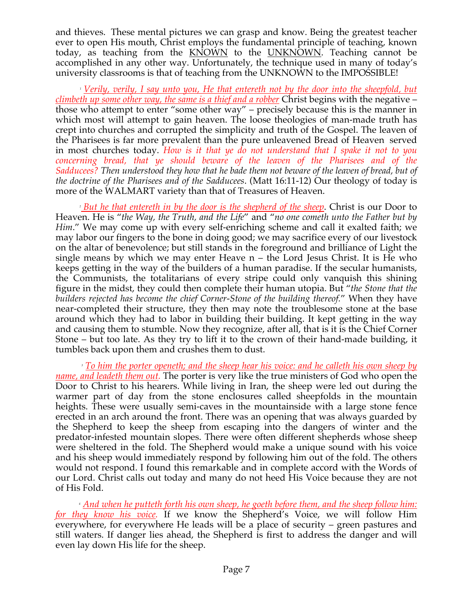and thieves. These mental pictures we can grasp and know. Being the greatest teacher ever to open His mouth, Christ employs the fundamental principle of teaching, known today, as teaching from the **KNOWN** to the **UNKNOWN**. Teaching cannot be accomplished in any other way. Unfortunately, the technique used in many of today's university classrooms is that of teaching from the UNKNOWN to the IMPOSSIBLE!

 *<sup>1</sup> Verily, verily, I say unto you, He that entereth not by the door into the sheepfold, but climbeth up some other way, the same is a thief and a robber* Christ begins with the negative – those who attempt to enter "some other way" – precisely because this is the manner in which most will attempt to gain heaven. The loose theologies of man-made truth has crept into churches and corrupted the simplicity and truth of the Gospel. The leaven of the Pharisees is far more prevalent than the pure unleavened Bread of Heaven served in most churches today. *How is it that ye do not understand that I spake it not to you concerning bread, that ye should beware of the leaven of the Pharisees and of the Sadducees? Then understood they how that he bade them not beware of the leaven of bread, but of the doctrine of the Pharisees and of the Sadducees*. (Matt 16:11-12) Our theology of today is more of the WALMART variety than that of Treasures of Heaven.

 *<sup>2</sup> But he that entereth in by the door is the shepherd of the sheep*. Christ is our Door to Heaven. He is "*the Way, the Truth, and the Life*" and "*no one cometh unto the Father but by Him*." We may come up with every self-enriching scheme and call it exalted faith; we may labor our fingers to the bone in doing good; we may sacrifice every of our livestock on the altar of benevolence; but still stands in the foreground and brilliance of Light the single means by which we may enter Heave n – the Lord Jesus Christ. It is He who keeps getting in the way of the builders of a human paradise. If the secular humanists, the Communists, the totalitarians of every stripe could only vanquish this shining figure in the midst, they could then complete their human utopia. But "*the Stone that the builders rejected has become the chief Corner-Stone of the building thereof.*" When they have near-completed their structure, they then may note the troublesome stone at the base around which they had to labor in building their building. It kept getting in the way and causing them to stumble. Now they recognize, after all, that is it is the Chief Corner Stone – but too late. As they try to lift it to the crown of their hand-made building, it tumbles back upon them and crushes them to dust.

 *<sup>3</sup> To him the porter openeth; and the sheep hear his voice: and he calleth his own sheep by name, and leadeth them out.* The porter is very like the true ministers of God who open the Door to Christ to his hearers. While living in Iran, the sheep were led out during the warmer part of day from the stone enclosures called sheepfolds in the mountain heights. These were usually semi-caves in the mountainside with a large stone fence erected in an arch around the front. There was an opening that was always guarded by the Shepherd to keep the sheep from escaping into the dangers of winter and the predator-infested mountain slopes. There were often different shepherds whose sheep were sheltered in the fold. The Shepherd would make a unique sound with his voice and his sheep would immediately respond by following him out of the fold. The others would not respond. I found this remarkable and in complete accord with the Words of our Lord. Christ calls out today and many do not heed His Voice because they are not of His Fold.

 *<sup>4</sup> And when he putteth forth his own sheep, he goeth before them, and the sheep follow him: for they know his voice.* If we know the Shepherd's Voice, we will follow Him everywhere, for everywhere He leads will be a place of security – green pastures and still waters. If danger lies ahead, the Shepherd is first to address the danger and will even lay down His life for the sheep.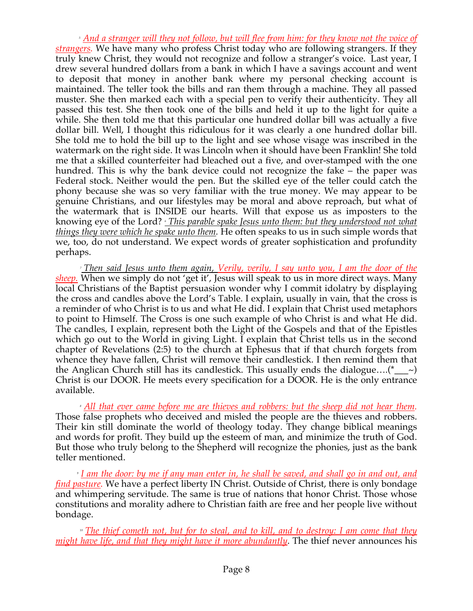*<sup>5</sup> And a stranger will they not follow, but will flee from him: for they know not the voice of strangers.* We have many who profess Christ today who are following strangers. If they truly knew Christ, they would not recognize and follow a stranger's voice. Last year, I drew several hundred dollars from a bank in which I have a savings account and went to deposit that money in another bank where my personal checking account is maintained. The teller took the bills and ran them through a machine. They all passed muster. She then marked each with a special pen to verify their authenticity. They all passed this test. She then took one of the bills and held it up to the light for quite a while. She then told me that this particular one hundred dollar bill was actually a five dollar bill. Well, I thought this ridiculous for it was clearly a one hundred dollar bill. She told me to hold the bill up to the light and see whose visage was inscribed in the watermark on the right side. It was Lincoln when it should have been Franklin! She told me that a skilled counterfeiter had bleached out a five, and over-stamped with the one hundred. This is why the bank device could not recognize the fake – the paper was Federal stock. Neither would the pen. But the skilled eye of the teller could catch the phony because she was so very familiar with the true money. We may appear to be genuine Christians, and our lifestyles may be moral and above reproach, but what of the watermark that is INSIDE our hearts. Will that expose us as imposters to the knowing eye of the Lord? *<sup>6</sup> This parable spake Jesus unto them: but they understood not what things they were which he spake unto them.* He often speaks to us in such simple words that we, too, do not understand. We expect words of greater sophistication and profundity perhaps.

 *<sup>7</sup> Then said Jesus unto them again, Verily, verily, I say unto you, I am the door of the sheep.* When we simply do not 'get it', Jesus will speak to us in more direct ways. Many local Christians of the Baptist persuasion wonder why I commit idolatry by displaying the cross and candles above the Lord's Table. I explain, usually in vain, that the cross is a reminder of who Christ is to us and what He did. I explain that Christ used metaphors to point to Himself. The Cross is one such example of who Christ is and what He did. The candles, I explain, represent both the Light of the Gospels and that of the Epistles which go out to the World in giving Light. I explain that Christ tells us in the second chapter of Revelations (2:5) to the church at Ephesus that if that church forgets from whence they have fallen, Christ will remove their candlestick. I then remind them that the Anglican Church still has its candlestick. This usually ends the dialogue....(\*  $\sim$ ) Christ is our DOOR. He meets every specification for a DOOR. He is the only entrance available.

 *<sup>8</sup> All that ever came before me are thieves and robbers: but the sheep did not hear them.* Those false prophets who deceived and misled the people are the thieves and robbers. Their kin still dominate the world of theology today. They change biblical meanings and words for profit. They build up the esteem of man, and minimize the truth of God. But those who truly belong to the Shepherd will recognize the phonies, just as the bank teller mentioned.

 *<sup>9</sup> I am the door: by me if any man enter in, he shall be saved, and shall go in and out, and find pasture.* We have a perfect liberty IN Christ. Outside of Christ, there is only bondage and whimpering servitude. The same is true of nations that honor Christ. Those whose constitutions and morality adhere to Christian faith are free and her people live without bondage.

 *<sup>10</sup> The thief cometh not, but for to steal, and to kill, and to destroy: I am come that they might have life, and that they might have it more abundantly*. The thief never announces his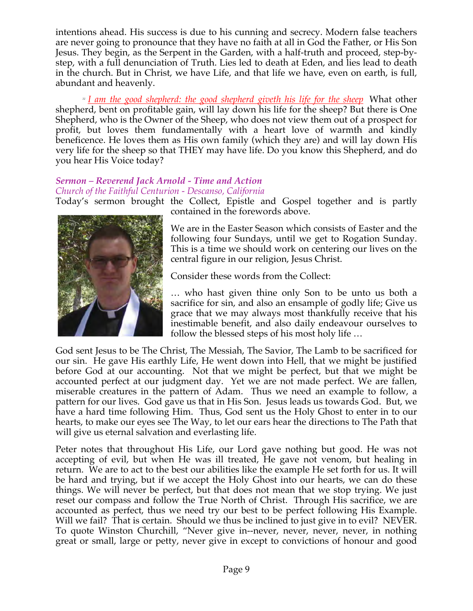intentions ahead. His success is due to his cunning and secrecy. Modern false teachers are never going to pronounce that they have no faith at all in God the Father, or His Son Jesus. They begin, as the Serpent in the Garden, with a half-truth and proceed, step-bystep, with a full denunciation of Truth. Lies led to death at Eden, and lies lead to death in the church. But in Christ, we have Life, and that life we have, even on earth, is full, abundant and heavenly.

 *<sup>11</sup> I am the good shepherd: the good shepherd giveth his life for the sheep* What other shepherd, bent on profitable gain, will lay down his life for the sheep? But there is One Shepherd, who is the Owner of the Sheep, who does not view them out of a prospect for profit, but loves them fundamentally with a heart love of warmth and kindly beneficence. He loves them as His own family (which they are) and will lay down His very life for the sheep so that THEY may have life. Do you know this Shepherd, and do you hear His Voice today?

# *Sermon – Reverend Jack Arnold - Time and Action Church of the Faithful Centurion - Descanso, California*



Today's sermon brought the Collect, Epistle and Gospel together and is partly contained in the forewords above.

> We are in the Easter Season which consists of Easter and the following four Sundays, until we get to Rogation Sunday. This is a time we should work on centering our lives on the central figure in our religion, Jesus Christ.

Consider these words from the Collect:

… who hast given thine only Son to be unto us both a sacrifice for sin, and also an ensample of godly life; Give us grace that we may always most thankfully receive that his inestimable benefit, and also daily endeavour ourselves to follow the blessed steps of his most holy life …

God sent Jesus to be The Christ, The Messiah, The Savior, The Lamb to be sacrificed for our sin. He gave His earthly Life, He went down into Hell, that we might be justified before God at our accounting. Not that we might be perfect, but that we might be accounted perfect at our judgment day. Yet we are not made perfect. We are fallen, miserable creatures in the pattern of Adam. Thus we need an example to follow, a pattern for our lives. God gave us that in His Son. Jesus leads us towards God. But, we have a hard time following Him. Thus, God sent us the Holy Ghost to enter in to our hearts, to make our eyes see The Way, to let our ears hear the directions to The Path that will give us eternal salvation and everlasting life.

Peter notes that throughout His Life, our Lord gave nothing but good. He was not accepting of evil, but when He was ill treated, He gave not venom, but healing in return. We are to act to the best our abilities like the example He set forth for us. It will be hard and trying, but if we accept the Holy Ghost into our hearts, we can do these things. We will never be perfect, but that does not mean that we stop trying. We just reset our compass and follow the True North of Christ. Through His sacrifice, we are accounted as perfect, thus we need try our best to be perfect following His Example. Will we fail? That is certain. Should we thus be inclined to just give in to evil? NEVER. To quote Winston Churchill, "Never give in--never, never, never, never, in nothing great or small, large or petty, never give in except to convictions of honour and good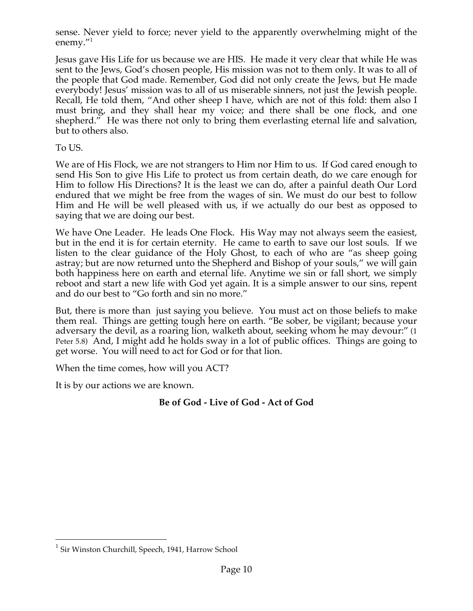sense. Never yield to force; never yield to the apparently overwhelming might of the enemy."1

Jesus gave His Life for us because we are HIS. He made it very clear that while He was sent to the Jews, God's chosen people, His mission was not to them only. It was to all of the people that God made. Remember, God did not only create the Jews, but He made everybody! Jesus' mission was to all of us miserable sinners, not just the Jewish people. Recall, He told them, "And other sheep I have, which are not of this fold: them also I must bring, and they shall hear my voice; and there shall be one flock, and one shepherd." He was there not only to bring them everlasting eternal life and salvation, but to others also.

To US.

We are of His Flock, we are not strangers to Him nor Him to us. If God cared enough to send His Son to give His Life to protect us from certain death, do we care enough for Him to follow His Directions? It is the least we can do, after a painful death Our Lord endured that we might be free from the wages of sin. We must do our best to follow Him and He will be well pleased with us, if we actually do our best as opposed to saying that we are doing our best.

We have One Leader. He leads One Flock. His Way may not always seem the easiest, but in the end it is for certain eternity. He came to earth to save our lost souls. If we listen to the clear guidance of the Holy Ghost, to each of who are "as sheep going astray; but are now returned unto the Shepherd and Bishop of your souls," we will gain both happiness here on earth and eternal life. Anytime we sin or fall short, we simply reboot and start a new life with God yet again. It is a simple answer to our sins, repent and do our best to "Go forth and sin no more."

But, there is more than just saying you believe. You must act on those beliefs to make them real. Things are getting tough here on earth. "Be sober, be vigilant; because your adversary the devil, as a roaring lion, walketh about, seeking whom he may devour:" (1 Peter 5.8) And, I might add he holds sway in a lot of public offices. Things are going to get worse. You will need to act for God or for that lion.

When the time comes, how will you ACT?

It is by our actions we are known.

# **Be of God - Live of God - Act of God**

<sup>&</sup>lt;sup>1</sup> Sir Winston Churchill, Speech, 1941, Harrow School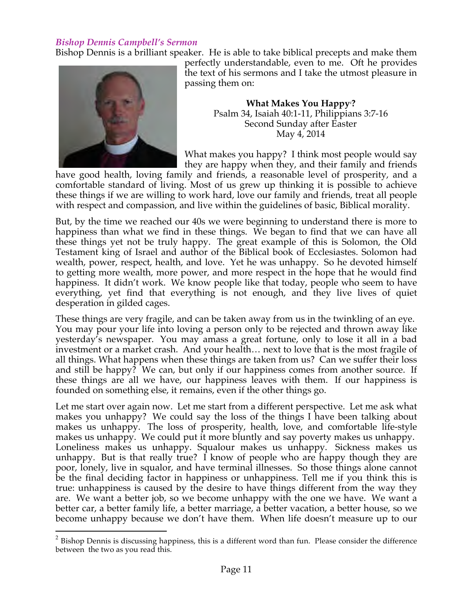### *Bishop Dennis Campbell's Sermon*

Bishop Dennis is a brilliant speaker. He is able to take biblical precepts and make them



perfectly understandable, even to me. Oft he provides the text of his sermons and I take the utmost pleasure in passing them on:

> **What Makes You Happy2 ?** Psalm 34, Isaiah 40:1-11, Philippians 3:7-16 Second Sunday after Easter May 4, 2014

What makes you happy? I think most people would say they are happy when they, and their family and friends

have good health, loving family and friends, a reasonable level of prosperity, and a comfortable standard of living. Most of us grew up thinking it is possible to achieve these things if we are willing to work hard, love our family and friends, treat all people with respect and compassion, and live within the guidelines of basic, Biblical morality.

But, by the time we reached our 40s we were beginning to understand there is more to happiness than what we find in these things. We began to find that we can have all these things yet not be truly happy. The great example of this is Solomon, the Old Testament king of Israel and author of the Biblical book of Ecclesiastes. Solomon had wealth, power, respect, health, and love. Yet he was unhappy. So he devoted himself to getting more wealth, more power, and more respect in the hope that he would find happiness. It didn't work. We know people like that today, people who seem to have everything, yet find that everything is not enough, and they live lives of quiet desperation in gilded cages.

These things are very fragile, and can be taken away from us in the twinkling of an eye. You may pour your life into loving a person only to be rejected and thrown away like yesterday's newspaper. You may amass a great fortune, only to lose it all in a bad investment or a market crash. And your health… next to love that is the most fragile of all things. What happens when these things are taken from us? Can we suffer their loss and still be happy? We can, but only if our happiness comes from another source. If these things are all we have, our happiness leaves with them. If our happiness is founded on something else, it remains, even if the other things go.

Let me start over again now. Let me start from a different perspective. Let me ask what makes you unhappy? We could say the loss of the things I have been talking about makes us unhappy. The loss of prosperity, health, love, and comfortable life-style makes us unhappy. We could put it more bluntly and say poverty makes us unhappy. Loneliness makes us unhappy. Squalour makes us unhappy. Sickness makes us unhappy. But is that really true? I know of people who are happy though they are poor, lonely, live in squalor, and have terminal illnesses. So those things alone cannot be the final deciding factor in happiness or unhappiness. Tell me if you think this is true: unhappiness is caused by the desire to have things different from the way they are. We want a better job, so we become unhappy with the one we have. We want a better car, a better family life, a better marriage, a better vacation, a better house, so we become unhappy because we don't have them. When life doesn't measure up to our

 $2$  Bishop Dennis is discussing happiness, this is a different word than fun. Please consider the difference between the two as you read this.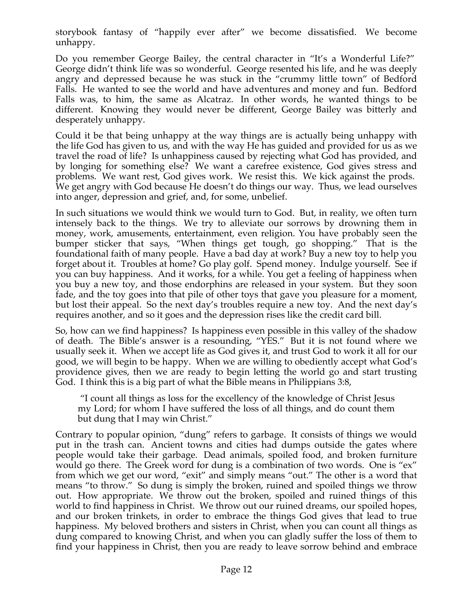storybook fantasy of "happily ever after" we become dissatisfied. We become unhappy.

Do you remember George Bailey, the central character in "It's a Wonderful Life?" George didn't think life was so wonderful. George resented his life, and he was deeply angry and depressed because he was stuck in the "crummy little town" of Bedford Falls. He wanted to see the world and have adventures and money and fun. Bedford Falls was, to him, the same as Alcatraz. In other words, he wanted things to be different. Knowing they would never be different, George Bailey was bitterly and desperately unhappy.

Could it be that being unhappy at the way things are is actually being unhappy with the life God has given to us, and with the way He has guided and provided for us as we travel the road of life? Is unhappiness caused by rejecting what God has provided, and by longing for something else? We want a carefree existence, God gives stress and problems. We want rest, God gives work. We resist this. We kick against the prods. We get angry with God because He doesn't do things our way. Thus, we lead ourselves into anger, depression and grief, and, for some, unbelief.

In such situations we would think we would turn to God. But, in reality, we often turn intensely back to the things. We try to alleviate our sorrows by drowning them in money, work, amusements, entertainment, even religion. You have probably seen the bumper sticker that says, "When things get tough, go shopping." That is the foundational faith of many people. Have a bad day at work? Buy a new toy to help you forget about it. Troubles at home? Go play golf. Spend money. Indulge yourself. See if you can buy happiness. And it works, for a while. You get a feeling of happiness when you buy a new toy, and those endorphins are released in your system. But they soon fade, and the toy goes into that pile of other toys that gave you pleasure for a moment, but lost their appeal. So the next day's troubles require a new toy. And the next day's requires another, and so it goes and the depression rises like the credit card bill.

So, how can we find happiness? Is happiness even possible in this valley of the shadow of death. The Bible's answer is a resounding, "YES." But it is not found where we usually seek it. When we accept life as God gives it, and trust God to work it all for our good, we will begin to be happy. When we are willing to obediently accept what God's providence gives, then we are ready to begin letting the world go and start trusting God. I think this is a big part of what the Bible means in Philippians 3:8,

 "I count all things as loss for the excellency of the knowledge of Christ Jesus my Lord; for whom I have suffered the loss of all things, and do count them but dung that I may win Christ."

Contrary to popular opinion, "dung" refers to garbage. It consists of things we would put in the trash can. Ancient towns and cities had dumps outside the gates where people would take their garbage. Dead animals, spoiled food, and broken furniture would go there. The Greek word for dung is a combination of two words. One is "ex" from which we get our word, "exit" and simply means "out." The other is a word that means "to throw." So dung is simply the broken, ruined and spoiled things we throw out. How appropriate. We throw out the broken, spoiled and ruined things of this world to find happiness in Christ. We throw out our ruined dreams, our spoiled hopes, and our broken trinkets, in order to embrace the things God gives that lead to true happiness. My beloved brothers and sisters in Christ, when you can count all things as dung compared to knowing Christ, and when you can gladly suffer the loss of them to find your happiness in Christ, then you are ready to leave sorrow behind and embrace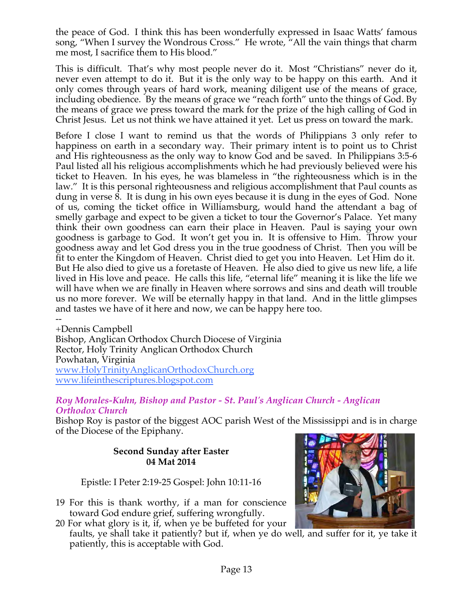the peace of God. I think this has been wonderfully expressed in Isaac Watts' famous song, "When I survey the Wondrous Cross." He wrote, "All the vain things that charm me most, I sacrifice them to His blood."

This is difficult. That's why most people never do it. Most "Christians" never do it, never even attempt to do it. But it is the only way to be happy on this earth. And it only comes through years of hard work, meaning diligent use of the means of grace, including obedience. By the means of grace we "reach forth" unto the things of God. By the means of grace we press toward the mark for the prize of the high calling of God in Christ Jesus. Let us not think we have attained it yet. Let us press on toward the mark.

Before I close I want to remind us that the words of Philippians 3 only refer to happiness on earth in a secondary way. Their primary intent is to point us to Christ and His righteousness as the only way to know God and be saved. In Philippians 3:5-6 Paul listed all his religious accomplishments which he had previously believed were his ticket to Heaven. In his eyes, he was blameless in "the righteousness which is in the law." It is this personal righteousness and religious accomplishment that Paul counts as dung in verse 8. It is dung in his own eyes because it is dung in the eyes of God. None of us, coming the ticket office in Williamsburg, would hand the attendant a bag of smelly garbage and expect to be given a ticket to tour the Governor's Palace. Yet many think their own goodness can earn their place in Heaven. Paul is saying your own goodness is garbage to God. It won't get you in. It is offensive to Him. Throw your goodness away and let God dress you in the true goodness of Christ. Then you will be fit to enter the Kingdom of Heaven. Christ died to get you into Heaven. Let Him do it. But He also died to give us a foretaste of Heaven. He also died to give us new life, a life lived in His love and peace. He calls this life, "eternal life" meaning it is like the life we will have when we are finally in Heaven where sorrows and sins and death will trouble us no more forever. We will be eternally happy in that land. And in the little glimpses and tastes we have of it here and now, we can be happy here too.

-- +Dennis Campbell Bishop, Anglican Orthodox Church Diocese of Virginia Rector, Holy Trinity Anglican Orthodox Church Powhatan, Virginia www.HolyTrinityAnglicanOrthodoxChurch.org www.lifeinthescriptures.blogspot.com

#### *Roy Morales-Kuhn, Bishop and Pastor - St. Paul's Anglican Church - Anglican Orthodox Church*

Bishop Roy is pastor of the biggest AOC parish West of the Mississippi and is in charge of the Diocese of the Epiphany.

### **Second Sunday after Easter 04 Mat 2014**

Epistle: I Peter 2:19-25 Gospel: John 10:11-16

19 For this is thank worthy, if a man for conscience toward God endure grief, suffering wrongfully.

patiently, this is acceptable with God.

20 For what glory is it, if, when ye be buffeted for your faults, ye shall take it patiently? but if, when ye do well, and suffer for it, ye take it

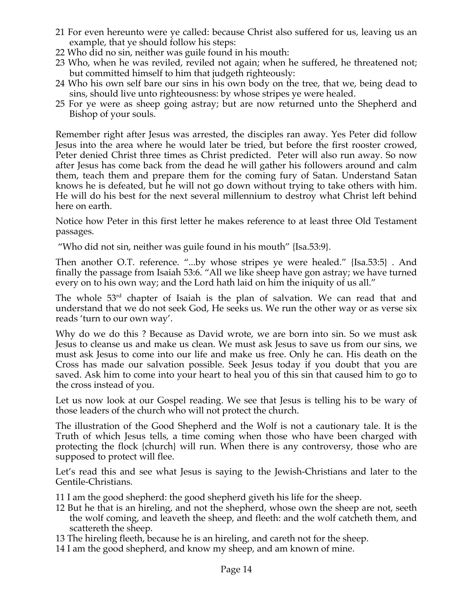- 21 For even hereunto were ye called: because Christ also suffered for us, leaving us an example, that ye should follow his steps:
- 22 Who did no sin, neither was guile found in his mouth:
- 23 Who, when he was reviled, reviled not again; when he suffered, he threatened not; but committed himself to him that judgeth righteously:
- 24 Who his own self bare our sins in his own body on the tree, that we, being dead to sins, should live unto righteousness: by whose stripes ye were healed.
- 25 For ye were as sheep going astray; but are now returned unto the Shepherd and Bishop of your souls.

Remember right after Jesus was arrested, the disciples ran away. Yes Peter did follow Jesus into the area where he would later be tried, but before the first rooster crowed, Peter denied Christ three times as Christ predicted. Peter will also run away. So now after Jesus has come back from the dead he will gather his followers around and calm them, teach them and prepare them for the coming fury of Satan. Understand Satan knows he is defeated, but he will not go down without trying to take others with him. He will do his best for the next several millennium to destroy what Christ left behind here on earth.

Notice how Peter in this first letter he makes reference to at least three Old Testament passages.

"Who did not sin, neither was guile found in his mouth" {Isa.53:9}.

Then another O.T. reference. "...by whose stripes ye were healed." {Isa.53:5} . And finally the passage from Isaiah 53:6. "All we like sheep have gon astray; we have turned every on to his own way; and the Lord hath laid on him the iniquity of us all."

The whole 53<sup>rd</sup> chapter of Isaiah is the plan of salvation. We can read that and understand that we do not seek God, He seeks us. We run the other way or as verse six reads 'turn to our own way'.

Why do we do this ? Because as David wrote, we are born into sin. So we must ask Jesus to cleanse us and make us clean. We must ask Jesus to save us from our sins, we must ask Jesus to come into our life and make us free. Only he can. His death on the Cross has made our salvation possible. Seek Jesus today if you doubt that you are saved. Ask him to come into your heart to heal you of this sin that caused him to go to the cross instead of you.

Let us now look at our Gospel reading. We see that Jesus is telling his to be wary of those leaders of the church who will not protect the church.

The illustration of the Good Shepherd and the Wolf is not a cautionary tale. It is the Truth of which Jesus tells, a time coming when those who have been charged with protecting the flock {church} will run. When there is any controversy, those who are supposed to protect will flee.

Let's read this and see what Jesus is saying to the Jewish-Christians and later to the Gentile-Christians.

- 11 I am the good shepherd: the good shepherd giveth his life for the sheep.
- 12 But he that is an hireling, and not the shepherd, whose own the sheep are not, seeth the wolf coming, and leaveth the sheep, and fleeth: and the wolf catcheth them, and scattereth the sheep.
- 13 The hireling fleeth, because he is an hireling, and careth not for the sheep.
- 14 I am the good shepherd, and know my sheep, and am known of mine.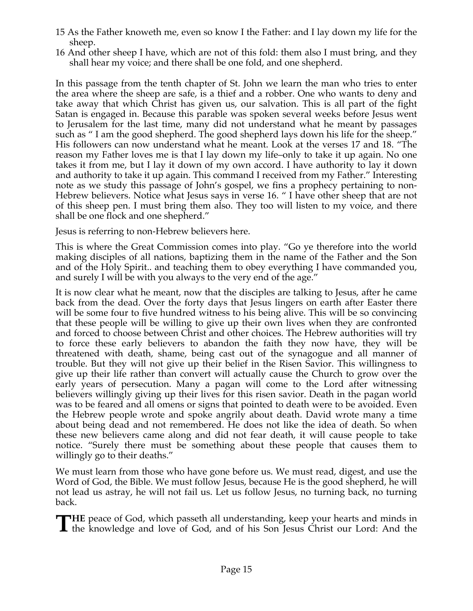- 15 As the Father knoweth me, even so know I the Father: and I lay down my life for the sheep.
- 16 And other sheep I have, which are not of this fold: them also I must bring, and they shall hear my voice; and there shall be one fold, and one shepherd.

In this passage from the tenth chapter of St. John we learn the man who tries to enter the area where the sheep are safe, is a thief and a robber. One who wants to deny and take away that which Christ has given us, our salvation. This is all part of the fight Satan is engaged in. Because this parable was spoken several weeks before Jesus went to Jerusalem for the last time, many did not understand what he meant by passages such as " I am the good shepherd. The good shepherd lays down his life for the sheep." His followers can now understand what he meant. Look at the verses 17 and 18. "The reason my Father loves me is that I lay down my life–only to take it up again. No one takes it from me, but I lay it down of my own accord. I have authority to lay it down and authority to take it up again. This command I received from my Father." Interesting note as we study this passage of John's gospel, we fins a prophecy pertaining to non-Hebrew believers. Notice what Jesus says in verse 16. " I have other sheep that are not of this sheep pen. I must bring them also. They too will listen to my voice, and there shall be one flock and one shepherd."

Jesus is referring to non-Hebrew believers here.

This is where the Great Commission comes into play. "Go ye therefore into the world making disciples of all nations, baptizing them in the name of the Father and the Son and of the Holy Spirit.. and teaching them to obey everything I have commanded you, and surely I will be with you always to the very end of the age."

It is now clear what he meant, now that the disciples are talking to Jesus, after he came back from the dead. Over the forty days that Jesus lingers on earth after Easter there will be some four to five hundred witness to his being alive. This will be so convincing that these people will be willing to give up their own lives when they are confronted and forced to choose between Christ and other choices. The Hebrew authorities will try to force these early believers to abandon the faith they now have, they will be threatened with death, shame, being cast out of the synagogue and all manner of trouble. But they will not give up their belief in the Risen Savior. This willingness to give up their life rather than convert will actually cause the Church to grow over the early years of persecution. Many a pagan will come to the Lord after witnessing believers willingly giving up their lives for this risen savior. Death in the pagan world was to be feared and all omens or signs that pointed to death were to be avoided. Even the Hebrew people wrote and spoke angrily about death. David wrote many a time about being dead and not remembered. He does not like the idea of death. So when these new believers came along and did not fear death, it will cause people to take notice. "Surely there must be something about these people that causes them to willingly go to their deaths."

We must learn from those who have gone before us. We must read, digest, and use the Word of God, the Bible. We must follow Jesus, because He is the good shepherd, he will not lead us astray, he will not fail us. Let us follow Jesus, no turning back, no turning back.

**HE** peace of God, which passeth all understanding, keep your hearts and minds in the knowledge and love of God, and of his Son Jesus Christ our Lord: And the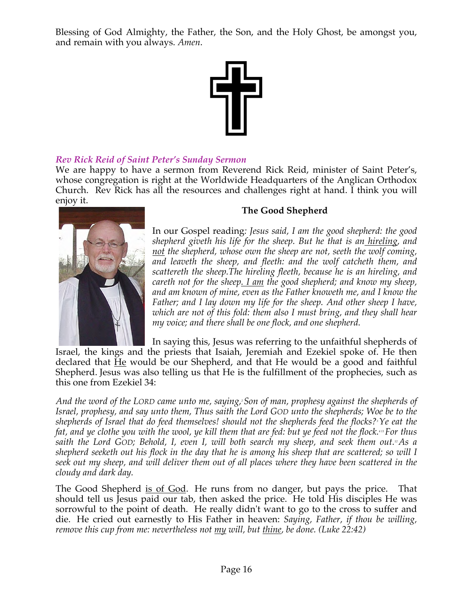Blessing of God Almighty, the Father, the Son, and the Holy Ghost, be amongst you, and remain with you always. *Amen*.



# *Rev Rick Reid of Saint Peter's Sunday Sermon*

We are happy to have a sermon from Reverend Rick Reid, minister of Saint Peter's, whose congregation is right at the Worldwide Headquarters of the Anglican Orthodox Church. Rev Rick has all the resources and challenges right at hand. I think you will enjoy it.



this one from Ezekiel 34:

# **The Good Shepherd**

In our Gospel reading*: Jesus said, I am the good shepherd: the good shepherd giveth his life for the sheep. But he that is an hireling, and not the shepherd, whose own the sheep are not, seeth the wolf coming, and leaveth the sheep, and fleeth: and the wolf catcheth them, and scattereth the sheep.The hireling fleeth, because he is an hireling, and careth not for the sheep. I am the good shepherd; and know my sheep, and am known of mine, even as the Father knoweth me, and I know the Father; and I lay down my life for the sheep. And other sheep I have, which are not of this fold: them also I must bring, and they shall hear my voice; and there shall be one flock, and one shepherd.*

In saying this, Jesus was referring to the unfaithful shepherds of Israel, the kings and the priests that Isaiah, Jeremiah and Ezekiel spoke of. He then declared that  $H$ e would be our Shepherd, and that He would be a good and faithful Shepherd. Jesus was also telling us that He is the fulfillment of the prophecies, such as

*And the word of the LORD came unto me, saying,2 Son of man, prophesy against the shepherds of Israel, prophesy, and say unto them, Thus saith the Lord GOD unto the shepherds; Woe be to the shepherds of Israel that do feed themselves! should not the shepherds feed the flocks?3 Ye eat the fat, and ye clothe you with the wool, ye kill them that are fed: but ye feed not the flock.*<sup>411</sup> For thus saith the Lord GOD; Behold, I, even I, will both search my sheep, and seek them out.<sup>11</sup>As a *shepherd seeketh out his flock in the day that he is among his sheep that are scattered; so will I seek out my sheep, and will deliver them out of all places where they have been scattered in the cloudy and dark day.*

The Good Shepherd is of God. He runs from no danger, but pays the price. That should tell us Jesus paid our tab, then asked the price. He told His disciples He was sorrowful to the point of death. He really didn't want to go to the cross to suffer and die. He cried out earnestly to His Father in heaven: *Saying, Father, if thou be willing, remove this cup from me: nevertheless not my will, but thine, be done. (Luke 22:42)*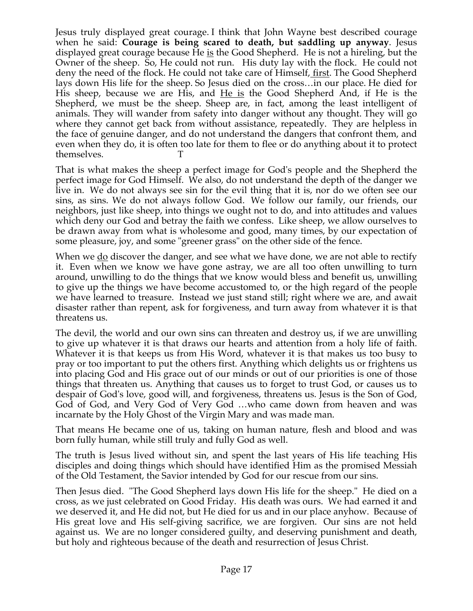Jesus truly displayed great courage. I think that John Wayne best described courage when he said: **Courage is being scared to death, but saddling up anyway**. Jesus displayed great courage because He is the Good Shepherd. He is not a hireling, but the Owner of the sheep. So, He could not run. His duty lay with the flock. He could not deny the need of the flock. He could not take care of Himself, first. The Good Shepherd lays down His life for the sheep. So Jesus died on the cross…in our place. He died for His sheep, because we are His, and He is the Good Shepherd And, if He is the Shepherd, we must be the sheep. Sheep are, in fact, among the least intelligent of animals. They will wander from safety into danger without any thought. They will go where they cannot get back from without assistance, repeatedly. They are helpless in the face of genuine danger, and do not understand the dangers that confront them, and even when they do, it is often too late for them to flee or do anything about it to protect themselves.

That is what makes the sheep a perfect image for God's people and the Shepherd the perfect image for God Himself. We also, do not understand the depth of the danger we live in. We do not always see sin for the evil thing that it is, nor do we often see our sins, as sins. We do not always follow God. We follow our family, our friends, our neighbors, just like sheep, into things we ought not to do, and into attitudes and values which deny our God and betray the faith we confess. Like sheep, we allow ourselves to be drawn away from what is wholesome and good, many times, by our expectation of some pleasure, joy, and some "greener grass" on the other side of the fence.

When we  $\underline{do}$  discover the danger, and see what we have done, we are not able to rectify it. Even when we know we have gone astray, we are all too often unwilling to turn around, unwilling to do the things that we know would bless and benefit us, unwilling to give up the things we have become accustomed to, or the high regard of the people we have learned to treasure. Instead we just stand still; right where we are, and await disaster rather than repent, ask for forgiveness, and turn away from whatever it is that threatens us.

The devil, the world and our own sins can threaten and destroy us, if we are unwilling to give up whatever it is that draws our hearts and attention from a holy life of faith. Whatever it is that keeps us from His Word, whatever it is that makes us too busy to pray or too important to put the others first. Anything which delights us or frightens us into placing God and His grace out of our minds or out of our priorities is one of those things that threaten us. Anything that causes us to forget to trust God, or causes us to despair of God's love, good will, and forgiveness, threatens us. Jesus is the Son of God, God of God, and Very God of Very God …who came down from heaven and was incarnate by the Holy Ghost of the Virgin Mary and was made man.

That means He became one of us, taking on human nature, flesh and blood and was born fully human, while still truly and fully God as well.

The truth is Jesus lived without sin, and spent the last years of His life teaching His disciples and doing things which should have identified Him as the promised Messiah of the Old Testament, the Savior intended by God for our rescue from our sins.

Then Jesus died. "The Good Shepherd lays down His life for the sheep." He died on a cross, as we just celebrated on Good Friday. His death was ours. We had earned it and we deserved it, and He did not, but He died for us and in our place anyhow. Because of His great love and His self-giving sacrifice, we are forgiven. Our sins are not held against us. We are no longer considered guilty, and deserving punishment and death, but holy and righteous because of the death and resurrection of Jesus Christ.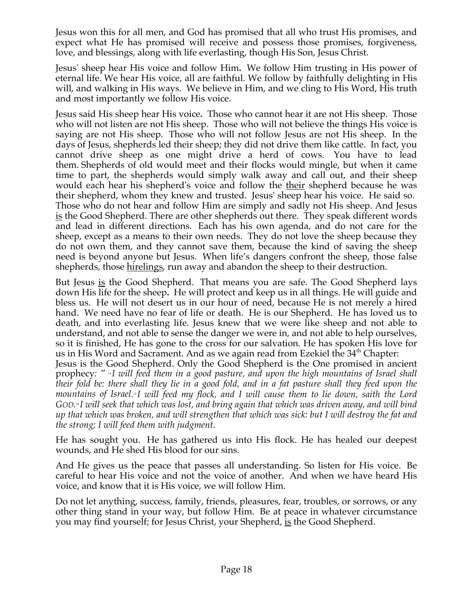Jesus won this for all men, and God has promised that all who trust His promises, and expect what He has promised will receive and possess those promises, forgiveness, love, and blessings, along with life everlasting, though His Son, Jesus Christ.

Jesus' sheep hear His voice and follow Him**.** We follow Him trusting in His power of eternal life. We hear His voice, all are faithful. We follow by faithfully delighting in His will, and walking in His ways. We believe in Him, and we cling to His Word, His truth and most importantly we follow His voice.

Jesus said His sheep hear His voice**.** Those who cannot hear it are not His sheep. Those who will not listen are not His sheep. Those who will not believe the things His voice is saying are not His sheep. Those who will not follow Jesus are not His sheep. In the days of Jesus, shepherds led their sheep; they did not drive them like cattle. In fact, you cannot drive sheep as one might drive a herd of cows. You have to lead them. Shepherds of old would meet and their flocks would mingle, but when it came time to part, the shepherds would simply walk away and call out, and their sheep would each hear his shepherd's voice and follow the their shepherd because he was their shepherd, whom they knew and trusted. Jesus' sheep hear his voice. He said so. Those who do not hear and follow Him are simply and sadly not His sheep. And Jesus is the Good Shepherd. There are other shepherds out there. They speak different words and lead in different directions. Each has his own agenda, and do not care for the sheep, except as a means to their own needs. They do not love the sheep because they do not own them, and they cannot save them, because the kind of saving the sheep need is beyond anyone but Jesus. When life's dangers confront the sheep, those false shepherds, those hirelings, run away and abandon the sheep to their destruction.

But Jesus is the Good Shepherd. That means you are safe. The Good Shepherd lays down His life for the sheep**.** He will protect and keep us in all things. He will guide and bless us. He will not desert us in our hour of need, because He is not merely a hired hand. We need have no fear of life or death. He is our Shepherd. He has loved us to death, and into everlasting life. Jesus knew that we were like sheep and not able to understand, and not able to sense the danger we were in, and not able to help ourselves, so it is finished, He has gone to the cross for our salvation. He has spoken His love for us in His Word and Sacrament. And as we again read from Ezekiel the 34<sup>th</sup> Chapter:

Jesus is the Good Shepherd. Only the Good Shepherd is the One promised in ancient prophecy*: " <sup>14</sup> I will feed them in a good pasture, and upon the high mountains of Israel shall their fold be: there shall they lie in a good fold, and in a fat pasture shall they feed upon the mountains of Israel.15 I will feed my flock, and I will cause them to lie down, saith the Lord GOD. <sup>16</sup> I will seek that which was lost, and bring again that which was driven away, and will bind up that which was broken, and will strengthen that which was sick: but I will destroy the fat and the strong; I will feed them with judgment.*

He has sought you. He has gathered us into His flock. He has healed our deepest wounds, and He shed His blood for our sins.

And He gives us the peace that passes all understanding. So listen for His voice. Be careful to hear His voice and not the voice of another. And when we have heard His voice, and know that it is His voice, we will follow Him.

Do not let anything, success, family, friends, pleasures, fear, troubles, or sorrows, or any other thing stand in your way, but follow Him. Be at peace in whatever circumstance you may find yourself; for Jesus Christ, your Shepherd, is the Good Shepherd.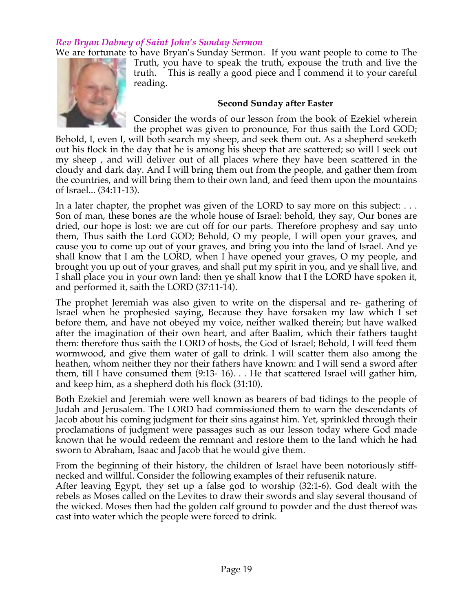# *Rev Bryan Dabney of Saint John's Sunday Sermon*

We are fortunate to have Bryan's Sunday Sermon. If you want people to come to The



Truth, you have to speak the truth, expouse the truth and live the truth. This is really a good piece and I commend it to your careful reading.

#### **Second Sunday after Easter**

Consider the words of our lesson from the book of Ezekiel wherein the prophet was given to pronounce, For thus saith the Lord GOD;

Behold, I, even I, will both search my sheep, and seek them out. As a shepherd seeketh out his flock in the day that he is among his sheep that are scattered; so will I seek out my sheep , and will deliver out of all places where they have been scattered in the cloudy and dark day. And I will bring them out from the people, and gather them from the countries, and will bring them to their own land, and feed them upon the mountains of Israel... (34:11-13).

In a later chapter, the prophet was given of the LORD to say more on this subject: ... Son of man, these bones are the whole house of Israel: behold, they say, Our bones are dried, our hope is lost: we are cut off for our parts. Therefore prophesy and say unto them, Thus saith the Lord GOD; Behold, O my people, I will open your graves, and cause you to come up out of your graves, and bring you into the land of Israel. And ye shall know that I am the LORD, when I have opened your graves, O my people, and brought you up out of your graves, and shall put my spirit in you, and ye shall live, and I shall place you in your own land: then ye shall know that I the LORD have spoken it, and performed it, saith the LORD (37:11-14).

The prophet Jeremiah was also given to write on the dispersal and re- gathering of Israel when he prophesied saying, Because they have forsaken my law which I set before them, and have not obeyed my voice, neither walked therein; but have walked after the imagination of their own heart, and after Baalim, which their fathers taught them: therefore thus saith the LORD of hosts, the God of Israel; Behold, I will feed them wormwood, and give them water of gall to drink. I will scatter them also among the heathen, whom neither they nor their fathers have known: and I will send a sword after them, till I have consumed them (9:13- 16). . . He that scattered Israel will gather him, and keep him, as a shepherd doth his flock (31:10).

Both Ezekiel and Jeremiah were well known as bearers of bad tidings to the people of Judah and Jerusalem. The LORD had commissioned them to warn the descendants of Jacob about his coming judgment for their sins against him. Yet, sprinkled through their proclamations of judgment were passages such as our lesson today where God made known that he would redeem the remnant and restore them to the land which he had sworn to Abraham, Isaac and Jacob that he would give them.

From the beginning of their history, the children of Israel have been notoriously stiffnecked and willful. Consider the following examples of their refusenik nature.

After leaving Egypt, they set up a false god to worship (32:1-6). God dealt with the rebels as Moses called on the Levites to draw their swords and slay several thousand of the wicked. Moses then had the golden calf ground to powder and the dust thereof was cast into water which the people were forced to drink.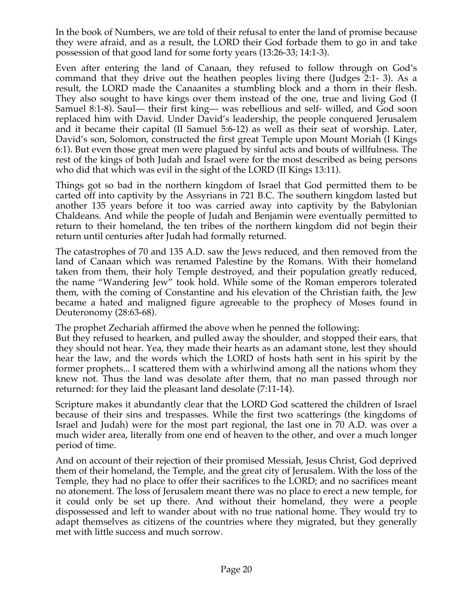In the book of Numbers, we are told of their refusal to enter the land of promise because they were afraid, and as a result, the LORD their God forbade them to go in and take possession of that good land for some forty years (13:26-33; 14:1-3).

Even after entering the land of Canaan, they refused to follow through on God's command that they drive out the heathen peoples living there (Judges 2:1- 3). As a result, the LORD made the Canaanites a stumbling block and a thorn in their flesh. They also sought to have kings over them instead of the one, true and living God (I Samuel 8:1-8). Saul— their first king— was rebellious and self- willed, and God soon replaced him with David. Under David's leadership, the people conquered Jerusalem and it became their capital (II Samuel 5:6-12) as well as their seat of worship. Later, David's son, Solomon, constructed the first great Temple upon Mount Moriah (I Kings 6:1). But even those great men were plagued by sinful acts and bouts of willfulness. The rest of the kings of both Judah and Israel were for the most described as being persons who did that which was evil in the sight of the LORD (II Kings 13:11).

Things got so bad in the northern kingdom of Israel that God permitted them to be carted off into captivity by the Assyrians in 721 B.C. The southern kingdom lasted but another 135 years before it too was carried away into captivity by the Babylonian Chaldeans. And while the people of Judah and Benjamin were eventually permitted to return to their homeland, the ten tribes of the northern kingdom did not begin their return until centuries after Judah had formally returned.

The catastrophes of 70 and 135 A.D. saw the Jews reduced, and then removed from the land of Canaan which was renamed Palestine by the Romans. With their homeland taken from them, their holy Temple destroyed, and their population greatly reduced, the name "Wandering Jew" took hold. While some of the Roman emperors tolerated them, with the coming of Constantine and his elevation of the Christian faith, the Jew became a hated and maligned figure agreeable to the prophecy of Moses found in Deuteronomy (28:63-68).

The prophet Zechariah affirmed the above when he penned the following:

But they refused to hearken, and pulled away the shoulder, and stopped their ears, that they should not hear. Yea, they made their hearts as an adamant stone, lest they should hear the law, and the words which the LORD of hosts hath sent in his spirit by the former prophets... I scattered them with a whirlwind among all the nations whom they knew not. Thus the land was desolate after them, that no man passed through nor returned: for they laid the pleasant land desolate (7:11-14).

Scripture makes it abundantly clear that the LORD God scattered the children of Israel because of their sins and trespasses. While the first two scatterings (the kingdoms of Israel and Judah) were for the most part regional, the last one in 70 A.D. was over a much wider area, literally from one end of heaven to the other, and over a much longer period of time.

And on account of their rejection of their promised Messiah, Jesus Christ, God deprived them of their homeland, the Temple, and the great city of Jerusalem. With the loss of the Temple, they had no place to offer their sacrifices to the LORD; and no sacrifices meant no atonement. The loss of Jerusalem meant there was no place to erect a new temple, for it could only be set up there. And without their homeland, they were a people dispossessed and left to wander about with no true national home. They would try to adapt themselves as citizens of the countries where they migrated, but they generally met with little success and much sorrow.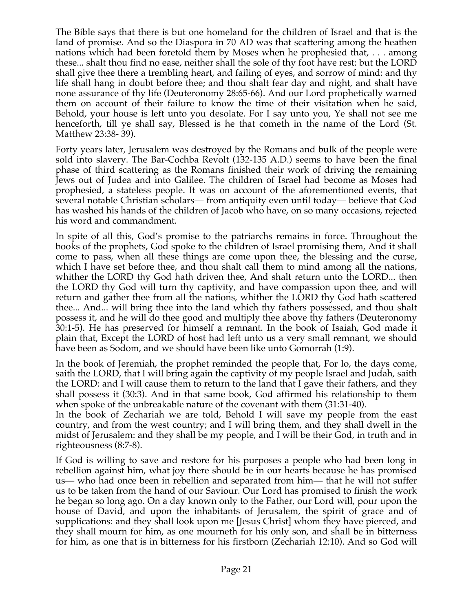The Bible says that there is but one homeland for the children of Israel and that is the land of promise. And so the Diaspora in 70 AD was that scattering among the heathen nations which had been foretold them by Moses when he prophesied that, . . . among these... shalt thou find no ease, neither shall the sole of thy foot have rest: but the LORD shall give thee there a trembling heart, and failing of eyes, and sorrow of mind: and thy life shall hang in doubt before thee; and thou shalt fear day and night, and shalt have none assurance of thy life (Deuteronomy 28:65-66). And our Lord prophetically warned them on account of their failure to know the time of their visitation when he said, Behold, your house is left unto you desolate. For I say unto you, Ye shall not see me henceforth, till ye shall say, Blessed is he that cometh in the name of the Lord (St. Matthew 23:38- 39).

Forty years later, Jerusalem was destroyed by the Romans and bulk of the people were sold into slavery. The Bar-Cochba Revolt (132-135 A.D.) seems to have been the final phase of third scattering as the Romans finished their work of driving the remaining Jews out of Judea and into Galilee. The children of Israel had become as Moses had prophesied, a stateless people. It was on account of the aforementioned events, that several notable Christian scholars— from antiquity even until today— believe that God has washed his hands of the children of Jacob who have, on so many occasions, rejected his word and commandment.

In spite of all this, God's promise to the patriarchs remains in force. Throughout the books of the prophets, God spoke to the children of Israel promising them, And it shall come to pass, when all these things are come upon thee, the blessing and the curse, which I have set before thee, and thou shalt call them to mind among all the nations, whither the LORD thy God hath driven thee, And shalt return unto the LORD... then the LORD thy God will turn thy captivity, and have compassion upon thee, and will return and gather thee from all the nations, whither the LORD thy God hath scattered thee... And... will bring thee into the land which thy fathers possessed, and thou shalt possess it, and he will do thee good and multiply thee above thy fathers (Deuteronomy 30:1-5). He has preserved for himself a remnant. In the book of Isaiah, God made it plain that, Except the LORD of host had left unto us a very small remnant, we should have been as Sodom, and we should have been like unto Gomorrah (1:9).

In the book of Jeremiah, the prophet reminded the people that, For lo, the days come, saith the LORD, that I will bring again the captivity of my people Israel and Judah, saith the LORD: and I will cause them to return to the land that I gave their fathers, and they shall possess it (30:3). And in that same book, God affirmed his relationship to them when spoke of the unbreakable nature of the covenant with them (31:31-40).

In the book of Zechariah we are told, Behold I will save my people from the east country, and from the west country; and I will bring them, and they shall dwell in the midst of Jerusalem: and they shall be my people, and I will be their God, in truth and in righteousness (8:7-8).

If God is willing to save and restore for his purposes a people who had been long in rebellion against him, what joy there should be in our hearts because he has promised us— who had once been in rebellion and separated from him— that he will not suffer us to be taken from the hand of our Saviour. Our Lord has promised to finish the work he began so long ago. On a day known only to the Father, our Lord will, pour upon the house of David, and upon the inhabitants of Jerusalem, the spirit of grace and of supplications: and they shall look upon me [Jesus Christ] whom they have pierced, and they shall mourn for him, as one mourneth for his only son, and shall be in bitterness for him, as one that is in bitterness for his firstborn (Zechariah 12:10). And so God will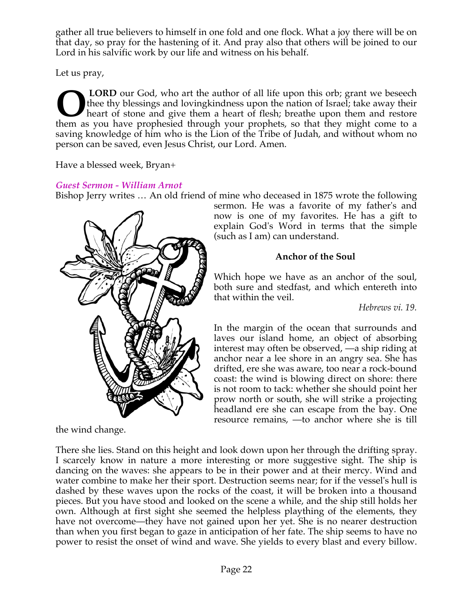gather all true believers to himself in one fold and one flock. What a joy there will be on that day, so pray for the hastening of it. And pray also that others will be joined to our Lord in his salvific work by our life and witness on his behalf.

Let us pray,

**LORD** our God, who art the author of all life upon this orb; grant we beseech thee thy blessings and lovingkindness upon the nation of Israel; take away their heart of stone and give them a heart of flesh; breathe upon them and restore **CORD** our God, who art the author of all life upon this orb; grant we beseech them the thy blessings and loving kindness upon the nation of Israel; take away their heart of stone and give them a heart of flesh; breathe up saving knowledge of him who is the Lion of the Tribe of Judah, and without whom no person can be saved, even Jesus Christ, our Lord. Amen.

Have a blessed week, Bryan+

# *Guest Sermon - William Arnot*

Bishop Jerry writes … An old friend of mine who deceased in 1875 wrote the following



the wind change.

sermon. He was a favorite of my father's and now is one of my favorites. He has a gift to explain God's Word in terms that the simple (such as I am) can understand.

# **Anchor of the Soul**

Which hope we have as an anchor of the soul, both sure and stedfast, and which entereth into that within the veil.

*Hebrews vi. 19.* 

In the margin of the ocean that surrounds and laves our island home, an object of absorbing interest may often be observed, —a ship riding at anchor near a lee shore in an angry sea. She has drifted, ere she was aware, too near a rock-bound coast: the wind is blowing direct on shore: there is not room to tack: whether she should point her prow north or south, she will strike a projecting headland ere she can escape from the bay. One resource remains, —to anchor where she is till

There she lies. Stand on this height and look down upon her through the drifting spray. I scarcely know in nature a more interesting or more suggestive sight. The ship is dancing on the waves: she appears to be in their power and at their mercy. Wind and water combine to make her their sport. Destruction seems near; for if the vessel's hull is dashed by these waves upon the rocks of the coast, it will be broken into a thousand pieces. But you have stood and looked on the scene a while, and the ship still holds her own. Although at first sight she seemed the helpless plaything of the elements, they have not overcome—they have not gained upon her yet. She is no nearer destruction than when you first began to gaze in anticipation of her fate. The ship seems to have no power to resist the onset of wind and wave. She yields to every blast and every billow.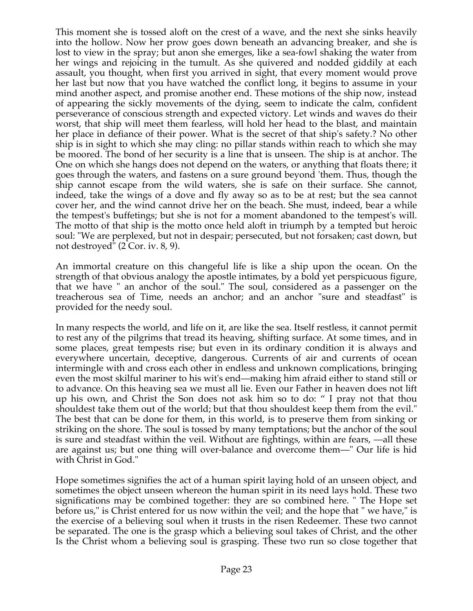This moment she is tossed aloft on the crest of a wave, and the next she sinks heavily into the hollow. Now her prow goes down beneath an advancing breaker, and she is lost to view in the spray; but anon she emerges, like a sea-fowl shaking the water from her wings and rejoicing in the tumult. As she quivered and nodded giddily at each assault, you thought, when first you arrived in sight, that every moment would prove her last but now that you have watched the conflict long, it begins to assume in your mind another aspect, and promise another end. These motions of the ship now, instead of appearing the sickly movements of the dying, seem to indicate the calm, confident perseverance of conscious strength and expected victory. Let winds and waves do their worst, that ship will meet them fearless, will hold her head to the blast, and maintain her place in defiance of their power. What is the secret of that ship's safety.? No other ship is in sight to which she may cling: no pillar stands within reach to which she may be moored. The bond of her security is a line that is unseen. The ship is at anchor. The One on which she hangs does not depend on the waters, or anything that floats there; it goes through the waters, and fastens on a sure ground beyond 'them. Thus, though the ship cannot escape from the wild waters, she is safe on their surface. She cannot, indeed, take the wings of a dove and fly away so as to be at rest; but the sea cannot cover her, and the wind cannot drive her on the beach. She must, indeed, bear a while the tempest's buffetings; but she is not for a moment abandoned to the tempest's will. The motto of that ship is the motto once held aloft in triumph by a tempted but heroic soul: "We are perplexed, but not in despair; persecuted, but not forsaken; cast down, but not destroyed" (2 Cor. iv. 8, 9).

An immortal creature on this changeful life is like a ship upon the ocean. On the strength of that obvious analogy the apostle intimates, by a bold yet perspicuous figure, that we have " an anchor of the soul." The soul, considered as a passenger on the treacherous sea of Time, needs an anchor; and an anchor "sure and steadfast" is provided for the needy soul.

In many respects the world, and life on it, are like the sea. Itself restless, it cannot permit to rest any of the pilgrims that tread its heaving, shifting surface. At some times, and in some places, great tempests rise; but even in its ordinary condition it is always and everywhere uncertain, deceptive, dangerous. Currents of air and currents of ocean intermingle with and cross each other in endless and unknown complications, bringing even the most skilful mariner to his wit's end—making him afraid either to stand still or to advance. On this heaving sea we must all lie. Even our Father in heaven does not lift up his own, and Christ the Son does not ask him so to do: " I pray not that thou shouldest take them out of the world; but that thou shouldest keep them from the evil." The best that can be done for them, in this world, is to preserve them from sinking or striking on the shore. The soul is tossed by many temptations; but the anchor of the soul is sure and steadfast within the veil. Without are fightings, within are fears, —all these are against us; but one thing will over-balance and overcome them—" Our life is hid with Christ in God."

Hope sometimes signifies the act of a human spirit laying hold of an unseen object, and sometimes the object unseen whereon the human spirit in its need lays hold. These two significations may be combined together: they are so combined here. " The Hope set before us," is Christ entered for us now within the veil; and the hope that " we have," is the exercise of a believing soul when it trusts in the risen Redeemer. These two cannot be separated. The one is the grasp which a believing soul takes of Christ, and the other Is the Christ whom a believing soul is grasping. These two run so close together that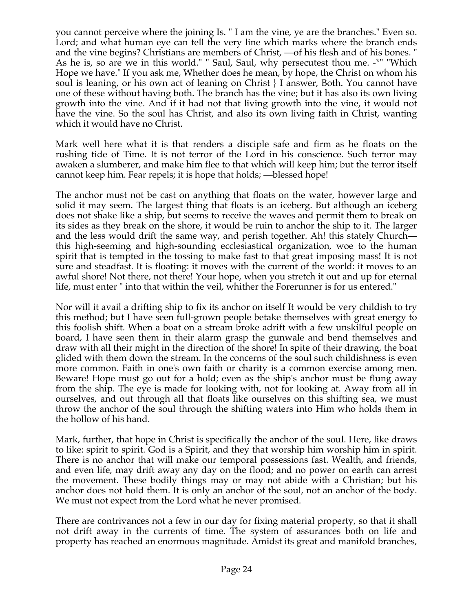you cannot perceive where the joining Is. " I am the vine, ye are the branches." Even so. Lord; and what human eye can tell the very line which marks where the branch ends and the vine begins? Christians are members of Christ, —of his flesh and of his bones. " As he is, so are we in this world." " Saul, Saul, why persecutest thou me. -\*" "Which Hope we have." If you ask me, Whether does he mean, by hope, the Christ on whom his soul is leaning, or his own act of leaning on Christ } I answer, Both. You cannot have one of these without having both. The branch has the vine; but it has also its own living growth into the vine. And if it had not that living growth into the vine, it would not have the vine. So the soul has Christ, and also its own living faith in Christ, wanting which it would have no Christ.

Mark well here what it is that renders a disciple safe and firm as he floats on the rushing tide of Time. It is not terror of the Lord in his conscience. Such terror may awaken a slumberer, and make him flee to that which will keep him; but the terror itself cannot keep him. Fear repels; it is hope that holds; —blessed hope!

The anchor must not be cast on anything that floats on the water, however large and solid it may seem. The largest thing that floats is an iceberg. But although an iceberg does not shake like a ship, but seems to receive the waves and permit them to break on its sides as they break on the shore, it would be ruin to anchor the ship to it. The larger and the less would drift the same way, and perish together. Ah! this stately Church this high-seeming and high-sounding ecclesiastical organization, woe to the human spirit that is tempted in the tossing to make fast to that great imposing mass! It is not sure and steadfast. It is floating: it moves with the current of the world: it moves to an awful shore! Not there, not there! Your hope, when you stretch it out and up for eternal life, must enter " into that within the veil, whither the Forerunner is for us entered."

Nor will it avail a drifting ship to fix its anchor on itself It would be very childish to try this method; but I have seen full-grown people betake themselves with great energy to this foolish shift. When a boat on a stream broke adrift with a few unskilful people on board, I have seen them in their alarm grasp the gunwale and bend themselves and draw with all their might in the direction of the shore! In spite of their drawing, the boat glided with them down the stream. In the concerns of the soul such childishness is even more common. Faith in one's own faith or charity is a common exercise among men. Beware! Hope must go out for a hold; even as the ship's anchor must be flung away from the ship. The eye is made for looking with, not for looking at. Away from all in ourselves, and out through all that floats like ourselves on this shifting sea, we must throw the anchor of the soul through the shifting waters into Him who holds them in the hollow of his hand.

Mark, further, that hope in Christ is specifically the anchor of the soul. Here, like draws to like: spirit to spirit. God is a Spirit, and they that worship him worship him in spirit. There is no anchor that will make our temporal possessions fast. Wealth, and friends, and even life, may drift away any day on the flood; and no power on earth can arrest the movement. These bodily things may or may not abide with a Christian; but his anchor does not hold them. It is only an anchor of the soul, not an anchor of the body. We must not expect from the Lord what he never promised.

There are contrivances not a few in our day for fixing material property, so that it shall not drift away in the currents of time. The system of assurances both on life and property has reached an enormous magnitude. Amidst its great and manifold branches,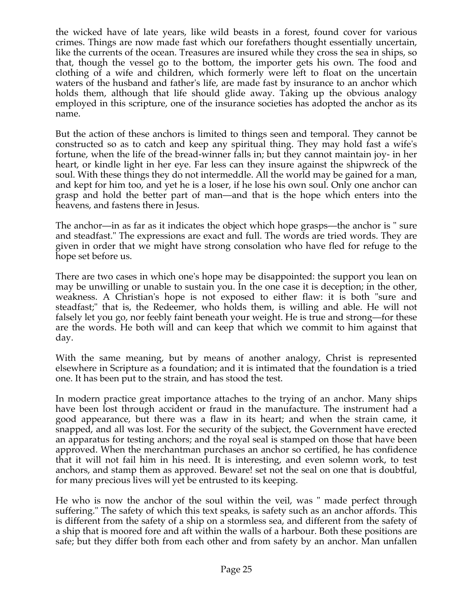the wicked have of late years, like wild beasts in a forest, found cover for various crimes. Things are now made fast which our forefathers thought essentially uncertain, like the currents of the ocean. Treasures are insured while they cross the sea in ships, so that, though the vessel go to the bottom, the importer gets his own. The food and clothing of a wife and children, which formerly were left to float on the uncertain waters of the husband and father's life, are made fast by insurance to an anchor which holds them, although that life should glide away. Taking up the obvious analogy employed in this scripture, one of the insurance societies has adopted the anchor as its name.

But the action of these anchors is limited to things seen and temporal. They cannot be constructed so as to catch and keep any spiritual thing. They may hold fast a wife's fortune, when the life of the bread-winner falls in; but they cannot maintain joy- in her heart, or kindle light in her eye. Far less can they insure against the shipwreck of the soul. With these things they do not intermeddle. All the world may be gained for a man, and kept for him too, and yet he is a loser, if he lose his own soul. Only one anchor can grasp and hold the better part of man—and that is the hope which enters into the heavens, and fastens there in Jesus.

The anchor—in as far as it indicates the object which hope grasps—the anchor is " sure and steadfast." The expressions are exact and full. The words are tried words. They are given in order that we might have strong consolation who have fled for refuge to the hope set before us.

There are two cases in which one's hope may be disappointed: the support you lean on may be unwilling or unable to sustain you. In the one case it is deception; in the other, weakness. A Christian's hope is not exposed to either flaw: it is both "sure and steadfast;" that is, the Redeemer, who holds them, is willing and able. He will not falsely let you go, nor feebly faint beneath your weight. He is true and strong—for these are the words. He both will and can keep that which we commit to him against that day.

With the same meaning, but by means of another analogy, Christ is represented elsewhere in Scripture as a foundation; and it is intimated that the foundation is a tried one. It has been put to the strain, and has stood the test.

In modern practice great importance attaches to the trying of an anchor. Many ships have been lost through accident or fraud in the manufacture. The instrument had a good appearance, but there was a flaw in its heart; and when the strain came, it snapped, and all was lost. For the security of the subject, the Government have erected an apparatus for testing anchors; and the royal seal is stamped on those that have been approved. When the merchantman purchases an anchor so certified, he has confidence that it will not fail him in his need. It is interesting, and even solemn work, to test anchors, and stamp them as approved. Beware! set not the seal on one that is doubtful, for many precious lives will yet be entrusted to its keeping.

He who is now the anchor of the soul within the veil, was " made perfect through suffering." The safety of which this text speaks, is safety such as an anchor affords. This is different from the safety of a ship on a stormless sea, and different from the safety of a ship that is moored fore and aft within the walls of a harbour. Both these positions are safe; but they differ both from each other and from safety by an anchor. Man unfallen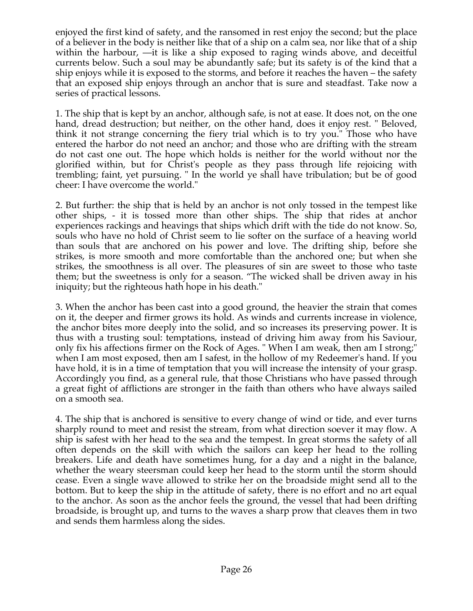enjoyed the first kind of safety, and the ransomed in rest enjoy the second; but the place of a believer in the body is neither like that of a ship on a calm sea, nor like that of a ship within the harbour, —it is like a ship exposed to raging winds above, and deceitful currents below. Such a soul may be abundantly safe; but its safety is of the kind that a ship enjoys while it is exposed to the storms, and before it reaches the haven – the safety that an exposed ship enjoys through an anchor that is sure and steadfast. Take now a series of practical lessons.

1. The ship that is kept by an anchor, although safe, is not at ease. It does not, on the one hand, dread destruction; but neither, on the other hand, does it enjoy rest. " Beloved, think it not strange concerning the fiery trial which is to try you." Those who have entered the harbor do not need an anchor; and those who are drifting with the stream do not cast one out. The hope which holds is neither for the world without nor the glorified within, but for Christ's people as they pass through life rejoicing with trembling; faint, yet pursuing. " In the world ye shall have tribulation; but be of good cheer: I have overcome the world."

2. But further: the ship that is held by an anchor is not only tossed in the tempest like other ships, - it is tossed more than other ships. The ship that rides at anchor experiences rackings and heavings that ships which drift with the tide do not know. So, souls who have no hold of Christ seem to lie softer on the surface of a heaving world than souls that are anchored on his power and love. The drifting ship, before she strikes, is more smooth and more comfortable than the anchored one; but when she strikes, the smoothness is all over. The pleasures of sin are sweet to those who taste them; but the sweetness is only for a season. "The wicked shall be driven away in his iniquity; but the righteous hath hope in his death."

3. When the anchor has been cast into a good ground, the heavier the strain that comes on it, the deeper and firmer grows its hold. As winds and currents increase in violence, the anchor bites more deeply into the solid, and so increases its preserving power. It is thus with a trusting soul: temptations, instead of driving him away from his Saviour, only fix his affections firmer on the Rock of Ages. " When I am weak, then am I strong;" when I am most exposed, then am I safest, in the hollow of my Redeemer's hand. If you have hold, it is in a time of temptation that you will increase the intensity of your grasp. Accordingly you find, as a general rule, that those Christians who have passed through a great fight of afflictions are stronger in the faith than others who have always sailed on a smooth sea.

4. The ship that is anchored is sensitive to every change of wind or tide, and ever turns sharply round to meet and resist the stream, from what direction soever it may flow. A ship is safest with her head to the sea and the tempest. In great storms the safety of all often depends on the skill with which the sailors can keep her head to the rolling breakers. Life and death have sometimes hung, for a day and a night in the balance, whether the weary steersman could keep her head to the storm until the storm should cease. Even a single wave allowed to strike her on the broadside might send all to the bottom. But to keep the ship in the attitude of safety, there is no effort and no art equal to the anchor. As soon as the anchor feels the ground, the vessel that had been drifting broadside, is brought up, and turns to the waves a sharp prow that cleaves them in two and sends them harmless along the sides.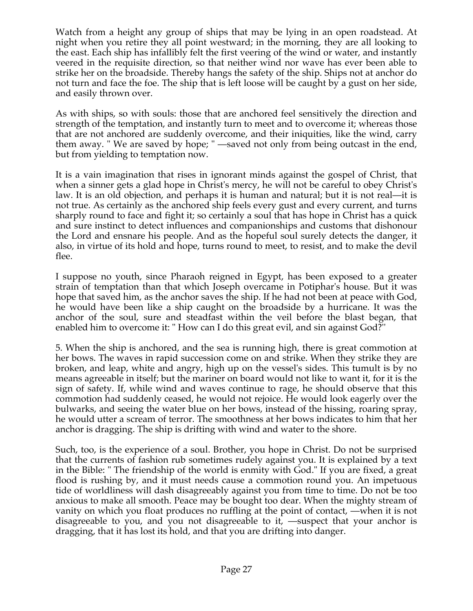Watch from a height any group of ships that may be lying in an open roadstead. At night when you retire they all point westward; in the morning, they are all looking to the east. Each ship has infallibly felt the first veering of the wind or water, and instantly veered in the requisite direction, so that neither wind nor wave has ever been able to strike her on the broadside. Thereby hangs the safety of the ship. Ships not at anchor do not turn and face the foe. The ship that is left loose will be caught by a gust on her side, and easily thrown over.

As with ships, so with souls: those that are anchored feel sensitively the direction and strength of the temptation, and instantly turn to meet and to overcome it; whereas those that are not anchored are suddenly overcome, and their iniquities, like the wind, carry them away. " We are saved by hope; " —saved not only from being outcast in the end, but from yielding to temptation now.

It is a vain imagination that rises in ignorant minds against the gospel of Christ, that when a sinner gets a glad hope in Christ's mercy, he will not be careful to obey Christ's law. It is an old objection, and perhaps it is human and natural; but it is not real—it is not true. As certainly as the anchored ship feels every gust and every current, and turns sharply round to face and fight it; so certainly a soul that has hope in Christ has a quick and sure instinct to detect influences and companionships and customs that dishonour the Lord and ensnare his people. And as the hopeful soul surely detects the danger, it also, in virtue of its hold and hope, turns round to meet, to resist, and to make the devil flee.

I suppose no youth, since Pharaoh reigned in Egypt, has been exposed to a greater strain of temptation than that which Joseph overcame in Potiphar's house. But it was hope that saved him, as the anchor saves the ship. If he had not been at peace with God, he would have been like a ship caught on the broadside by a hurricane. It was the anchor of the soul, sure and steadfast within the veil before the blast began, that enabled him to overcome it: " How can I do this great evil, and sin against God?''

5. When the ship is anchored, and the sea is running high, there is great commotion at her bows. The waves in rapid succession come on and strike. When they strike they are broken, and leap, white and angry, high up on the vessel's sides. This tumult is by no means agreeable in itself; but the mariner on board would not like to want it, for it is the sign of safety. If, while wind and waves continue to rage, he should observe that this commotion had suddenly ceased, he would not rejoice. He would look eagerly over the bulwarks, and seeing the water blue on her bows, instead of the hissing, roaring spray, he would utter a scream of terror. The smoothness at her bows indicates to him that her anchor is dragging. The ship is drifting with wind and water to the shore.

Such, too, is the experience of a soul. Brother, you hope in Christ. Do not be surprised that the currents of fashion rub sometimes rudely against you. It is explained by a text in the Bible: " The friendship of the world is enmity with God." If you are fixed, a great flood is rushing by, and it must needs cause a commotion round you. An impetuous tide of worldliness will dash disagreeably against you from time to time. Do not be too anxious to make all smooth. Peace may be bought too dear. When the mighty stream of vanity on which you float produces no ruffling at the point of contact, —when it is not disagreeable to you, and you not disagreeable to it, —suspect that your anchor is dragging, that it has lost its hold, and that you are drifting into danger.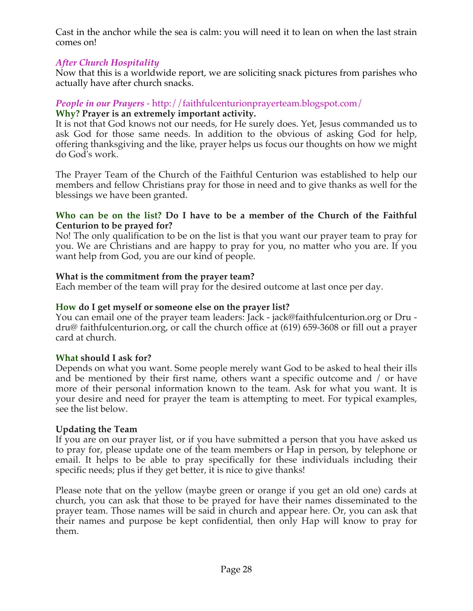Cast in the anchor while the sea is calm: you will need it to lean on when the last strain comes on!

# *After Church Hospitality*

Now that this is a worldwide report, we are soliciting snack pictures from parishes who actually have after church snacks.

# *People in our Prayers* - http://faithfulcenturionprayerteam.blogspot.com/

### **Why? Prayer is an extremely important activity.**

It is not that God knows not our needs, for He surely does. Yet, Jesus commanded us to ask God for those same needs. In addition to the obvious of asking God for help, offering thanksgiving and the like, prayer helps us focus our thoughts on how we might do God's work.

The Prayer Team of the Church of the Faithful Centurion was established to help our members and fellow Christians pray for those in need and to give thanks as well for the blessings we have been granted.

#### **Who can be on the list? Do I have to be a member of the Church of the Faithful Centurion to be prayed for?**

No! The only qualification to be on the list is that you want our prayer team to pray for you. We are Christians and are happy to pray for you, no matter who you are. If you want help from God, you are our kind of people.

### **What is the commitment from the prayer team?**

Each member of the team will pray for the desired outcome at last once per day.

### **How do I get myself or someone else on the prayer list?**

You can email one of the prayer team leaders: Jack - jack@faithfulcenturion.org or Dru dru@ faithfulcenturion.org, or call the church office at (619) 659-3608 or fill out a prayer card at church.

### **What should I ask for?**

Depends on what you want. Some people merely want God to be asked to heal their ills and be mentioned by their first name, others want a specific outcome and / or have more of their personal information known to the team. Ask for what you want. It is your desire and need for prayer the team is attempting to meet. For typical examples, see the list below.

### **Updating the Team**

If you are on our prayer list, or if you have submitted a person that you have asked us to pray for, please update one of the team members or Hap in person, by telephone or email. It helps to be able to pray specifically for these individuals including their specific needs; plus if they get better, it is nice to give thanks!

Please note that on the yellow (maybe green or orange if you get an old one) cards at church, you can ask that those to be prayed for have their names disseminated to the prayer team. Those names will be said in church and appear here. Or, you can ask that their names and purpose be kept confidential, then only Hap will know to pray for them.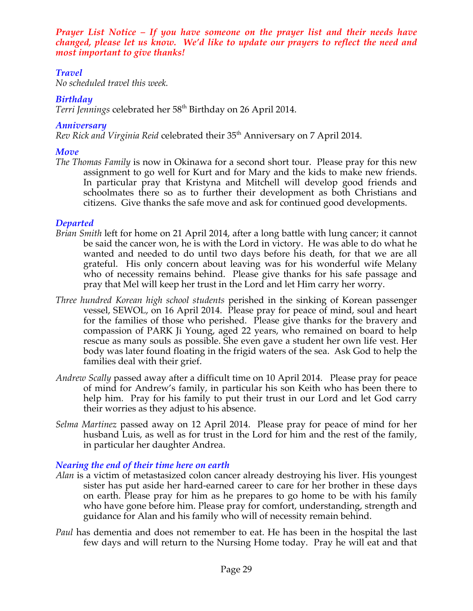*Prayer List Notice – If you have someone on the prayer list and their needs have changed, please let us know. We'd like to update our prayers to reflect the need and most important to give thanks!*

# *Travel*

*No scheduled travel this week.*

# *Birthday*

Terri Jennings celebrated her 58<sup>th</sup> Birthday on 26 April 2014.

### *Anniversary*

*Rev Rick and Virginia Reid* celebrated their 35<sup>th</sup> Anniversary on 7 April 2014.

# *Move*

*The Thomas Family* is now in Okinawa for a second short tour. Please pray for this new assignment to go well for Kurt and for Mary and the kids to make new friends. In particular pray that Kristyna and Mitchell will develop good friends and schoolmates there so as to further their development as both Christians and citizens. Give thanks the safe move and ask for continued good developments.

# *Departed*

- *Brian Smith* left for home on 21 April 2014, after a long battle with lung cancer; it cannot be said the cancer won, he is with the Lord in victory. He was able to do what he wanted and needed to do until two days before his death, for that we are all grateful. His only concern about leaving was for his wonderful wife Melany who of necessity remains behind. Please give thanks for his safe passage and pray that Mel will keep her trust in the Lord and let Him carry her worry.
- *Three hundred Korean high school students* perished in the sinking of Korean passenger vessel, SEWOL, on 16 April 2014. Please pray for peace of mind, soul and heart for the families of those who perished. Please give thanks for the bravery and compassion of PARK Ji Young, aged 22 years, who remained on board to help rescue as many souls as possible. She even gave a student her own life vest. Her body was later found floating in the frigid waters of the sea. Ask God to help the families deal with their grief.
- *Andrew Scally* passed away after a difficult time on 10 April 2014. Please pray for peace of mind for Andrew's family, in particular his son Keith who has been there to help him. Pray for his family to put their trust in our Lord and let God carry their worries as they adjust to his absence.
- *Selma Martinez* passed away on 12 April 2014. Please pray for peace of mind for her husband Luis, as well as for trust in the Lord for him and the rest of the family, in particular her daughter Andrea.

# *Nearing the end of their time here on earth*

- *Alan* is a victim of metastasized colon cancer already destroying his liver. His youngest sister has put aside her hard-earned career to care for her brother in these days on earth. Please pray for him as he prepares to go home to be with his family who have gone before him. Please pray for comfort, understanding, strength and guidance for Alan and his family who will of necessity remain behind.
- *Paul* has dementia and does not remember to eat. He has been in the hospital the last few days and will return to the Nursing Home today. Pray he will eat and that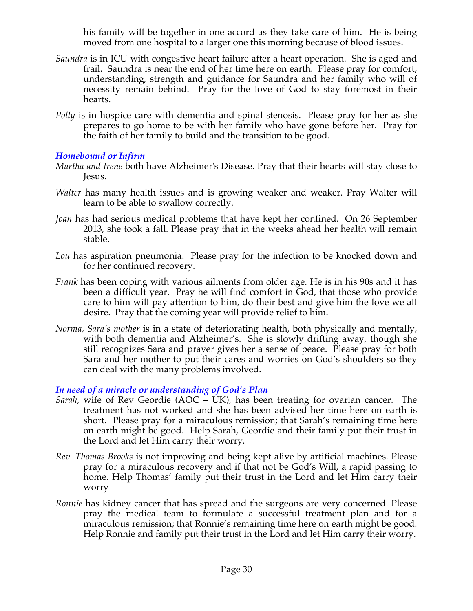his family will be together in one accord as they take care of him. He is being moved from one hospital to a larger one this morning because of blood issues.

- *Saundra* is in ICU with congestive heart failure after a heart operation. She is aged and frail. Saundra is near the end of her time here on earth. Please pray for comfort, understanding, strength and guidance for Saundra and her family who will of necessity remain behind. Pray for the love of God to stay foremost in their hearts.
- *Polly* is in hospice care with dementia and spinal stenosis. Please pray for her as she prepares to go home to be with her family who have gone before her. Pray for the faith of her family to build and the transition to be good.

# *Homebound or Infirm*

- *Martha and Irene* both have Alzheimer's Disease. Pray that their hearts will stay close to Jesus.
- *Walter* has many health issues and is growing weaker and weaker. Pray Walter will learn to be able to swallow correctly.
- *Joan* has had serious medical problems that have kept her confined. On 26 September 2013, she took a fall. Please pray that in the weeks ahead her health will remain stable.
- *Lou* has aspiration pneumonia. Please pray for the infection to be knocked down and for her continued recovery.
- *Frank* has been coping with various ailments from older age. He is in his 90s and it has been a difficult year. Pray he will find comfort in God, that those who provide care to him will pay attention to him, do their best and give him the love we all desire. Pray that the coming year will provide relief to him.
- *Norma, Sara's mother* is in a state of deteriorating health, both physically and mentally, with both dementia and Alzheimer's. She is slowly drifting away, though she still recognizes Sara and prayer gives her a sense of peace. Please pray for both Sara and her mother to put their cares and worries on God's shoulders so they can deal with the many problems involved.

### *In need of a miracle or understanding of God's Plan*

- *Sarah,* wife of Rev Geordie (AOC UK), has been treating for ovarian cancer. The treatment has not worked and she has been advised her time here on earth is short. Please pray for a miraculous remission; that Sarah's remaining time here on earth might be good. Help Sarah, Geordie and their family put their trust in the Lord and let Him carry their worry.
- *Rev. Thomas Brooks* is not improving and being kept alive by artificial machines. Please pray for a miraculous recovery and if that not be God's Will, a rapid passing to home. Help Thomas' family put their trust in the Lord and let Him carry their worry
- *Ronnie* has kidney cancer that has spread and the surgeons are very concerned. Please pray the medical team to formulate a successful treatment plan and for a miraculous remission; that Ronnie's remaining time here on earth might be good. Help Ronnie and family put their trust in the Lord and let Him carry their worry.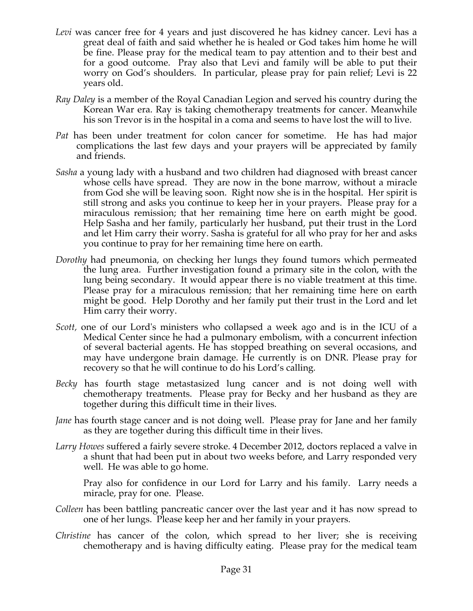- *Levi* was cancer free for 4 years and just discovered he has kidney cancer. Levi has a great deal of faith and said whether he is healed or God takes him home he will be fine. Please pray for the medical team to pay attention and to their best and for a good outcome. Pray also that Levi and family will be able to put their worry on God's shoulders. In particular, please pray for pain relief; Levi is 22 years old.
- *Ray Daley* is a member of the Royal Canadian Legion and served his country during the Korean War era. Ray is taking chemotherapy treatments for cancer. Meanwhile his son Trevor is in the hospital in a coma and seems to have lost the will to live.
- *Pat* has been under treatment for colon cancer for sometime. He has had major complications the last few days and your prayers will be appreciated by family and friends.
- *Sasha* a young lady with a husband and two children had diagnosed with breast cancer whose cells have spread. They are now in the bone marrow, without a miracle from God she will be leaving soon. Right now she is in the hospital. Her spirit is still strong and asks you continue to keep her in your prayers. Please pray for a miraculous remission; that her remaining time here on earth might be good. Help Sasha and her family, particularly her husband, put their trust in the Lord and let Him carry their worry. Sasha is grateful for all who pray for her and asks you continue to pray for her remaining time here on earth.
- *Dorothy* had pneumonia, on checking her lungs they found tumors which permeated the lung area. Further investigation found a primary site in the colon, with the lung being secondary. It would appear there is no viable treatment at this time. Please pray for a miraculous remission; that her remaining time here on earth might be good. Help Dorothy and her family put their trust in the Lord and let Him carry their worry.
- *Scott,* one of our Lord's ministers who collapsed a week ago and is in the ICU of a Medical Center since he had a pulmonary embolism, with a concurrent infection of several bacterial agents. He has stopped breathing on several occasions, and may have undergone brain damage. He currently is on DNR. Please pray for recovery so that he will continue to do his Lord's calling*.*
- *Becky* has fourth stage metastasized lung cancer and is not doing well with chemotherapy treatments. Please pray for Becky and her husband as they are together during this difficult time in their lives.
- *Jane* has fourth stage cancer and is not doing well. Please pray for Jane and her family as they are together during this difficult time in their lives.
- *Larry Howes* suffered a fairly severe stroke. 4 December 2012, doctors replaced a valve in a shunt that had been put in about two weeks before, and Larry responded very well. He was able to go home.

Pray also for confidence in our Lord for Larry and his family. Larry needs a miracle, pray for one. Please.

- *Colleen* has been battling pancreatic cancer over the last year and it has now spread to one of her lungs. Please keep her and her family in your prayers.
- *Christine* has cancer of the colon, which spread to her liver; she is receiving chemotherapy and is having difficulty eating. Please pray for the medical team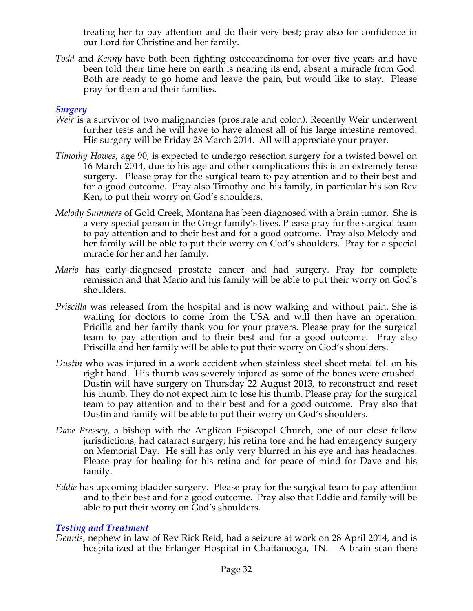treating her to pay attention and do their very best; pray also for confidence in our Lord for Christine and her family.

*Todd* and *Kenny* have both been fighting osteocarcinoma for over five years and have been told their time here on earth is nearing its end, absent a miracle from God. Both are ready to go home and leave the pain, but would like to stay. Please pray for them and their families.

### *Surgery*

- *Weir* is a survivor of two malignancies (prostrate and colon). Recently Weir underwent further tests and he will have to have almost all of his large intestine removed. His surgery will be Friday 28 March 2014. All will appreciate your prayer.
- *Timothy Howes*, age 90, is expected to undergo resection surgery for a twisted bowel on 16 March 2014, due to his age and other complications this is an extremely tense surgery. Please pray for the surgical team to pay attention and to their best and for a good outcome. Pray also Timothy and his family, in particular his son Rev Ken, to put their worry on God's shoulders.
- *Melody Summers* of Gold Creek, Montana has been diagnosed with a brain tumor. She is a very special person in the Gregr family's lives. Please pray for the surgical team to pay attention and to their best and for a good outcome. Pray also Melody and her family will be able to put their worry on God's shoulders. Pray for a special miracle for her and her family.
- *Mario* has early-diagnosed prostate cancer and had surgery. Pray for complete remission and that Mario and his family will be able to put their worry on God's shoulders.
- *Priscilla* was released from the hospital and is now walking and without pain. She is waiting for doctors to come from the USA and will then have an operation. Pricilla and her family thank you for your prayers. Please pray for the surgical team to pay attention and to their best and for a good outcome. Pray also Priscilla and her family will be able to put their worry on God's shoulders.
- *Dustin* who was injured in a work accident when stainless steel sheet metal fell on his right hand. His thumb was severely injured as some of the bones were crushed. Dustin will have surgery on Thursday 22 August 2013, to reconstruct and reset his thumb. They do not expect him to lose his thumb. Please pray for the surgical team to pay attention and to their best and for a good outcome. Pray also that Dustin and family will be able to put their worry on God's shoulders.
- *Dave Pressey*, a bishop with the Anglican Episcopal Church, one of our close fellow jurisdictions, had cataract surgery; his retina tore and he had emergency surgery on Memorial Day. He still has only very blurred in his eye and has headaches. Please pray for healing for his retina and for peace of mind for Dave and his family.
- *Eddie* has upcoming bladder surgery. Please pray for the surgical team to pay attention and to their best and for a good outcome. Pray also that Eddie and family will be able to put their worry on God's shoulders.

### *Testing and Treatment*

*Dennis*, nephew in law of Rev Rick Reid, had a seizure at work on 28 April 2014, and is hospitalized at the Erlanger Hospital in Chattanooga, TN. A brain scan there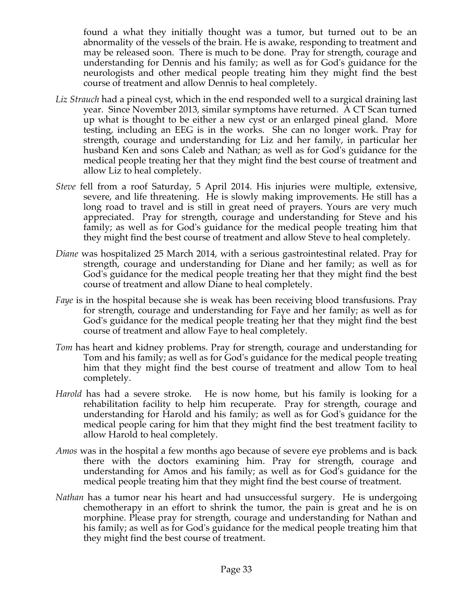found a what they initially thought was a tumor, but turned out to be an abnormality of the vessels of the brain. He is awake, responding to treatment and may be released soon. There is much to be done. Pray for strength, courage and understanding for Dennis and his family; as well as for God's guidance for the neurologists and other medical people treating him they might find the best course of treatment and allow Dennis to heal completely.

- *Liz Strauch* had a pineal cyst, which in the end responded well to a surgical draining last year. Since November 2013, similar symptoms have returned. A CT Scan turned up what is thought to be either a new cyst or an enlarged pineal gland. More testing, including an EEG is in the works. She can no longer work. Pray for strength, courage and understanding for Liz and her family, in particular her husband Ken and sons Caleb and Nathan; as well as for God's guidance for the medical people treating her that they might find the best course of treatment and allow Liz to heal completely.
- *Steve* fell from a roof Saturday, 5 April 2014. His injuries were multiple, extensive, severe, and life threatening. He is slowly making improvements. He still has a long road to travel and is still in great need of prayers. Yours are very much appreciated. Pray for strength, courage and understanding for Steve and his family; as well as for God's guidance for the medical people treating him that they might find the best course of treatment and allow Steve to heal completely.
- *Diane* was hospitalized 25 March 2014, with a serious gastrointestinal related. Pray for strength, courage and understanding for Diane and her family; as well as for God's guidance for the medical people treating her that they might find the best course of treatment and allow Diane to heal completely.
- *Faye* is in the hospital because she is weak has been receiving blood transfusions. Pray for strength, courage and understanding for Faye and her family; as well as for God's guidance for the medical people treating her that they might find the best course of treatment and allow Faye to heal completely.
- *Tom* has heart and kidney problems. Pray for strength, courage and understanding for Tom and his family; as well as for God's guidance for the medical people treating him that they might find the best course of treatment and allow Tom to heal completely.
- *Harold* has had a severe stroke. He is now home, but his family is looking for a rehabilitation facility to help him recuperate. Pray for strength, courage and understanding for Harold and his family; as well as for God's guidance for the medical people caring for him that they might find the best treatment facility to allow Harold to heal completely.
- *Amos* was in the hospital a few months ago because of severe eye problems and is back there with the doctors examining him. Pray for strength, courage and understanding for Amos and his family; as well as for God's guidance for the medical people treating him that they might find the best course of treatment.
- *Nathan* has a tumor near his heart and had unsuccessful surgery. He is undergoing chemotherapy in an effort to shrink the tumor, the pain is great and he is on morphine. Please pray for strength, courage and understanding for Nathan and his family; as well as for God's guidance for the medical people treating him that they might find the best course of treatment.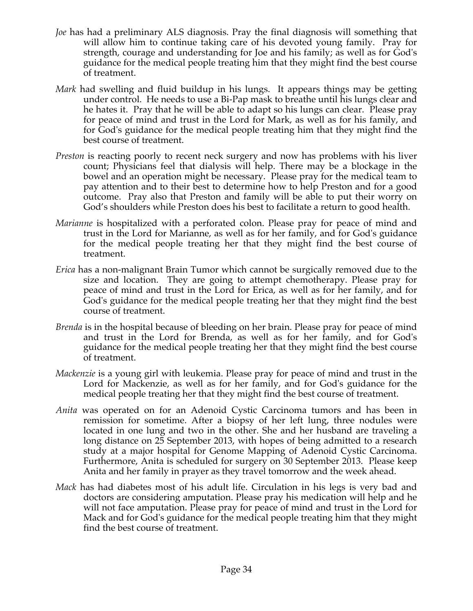- *Joe* has had a preliminary ALS diagnosis. Pray the final diagnosis will something that will allow him to continue taking care of his devoted young family. Pray for strength, courage and understanding for Joe and his family; as well as for God's guidance for the medical people treating him that they might find the best course of treatment.
- *Mark* had swelling and fluid buildup in his lungs. It appears things may be getting under control. He needs to use a Bi-Pap mask to breathe until his lungs clear and he hates it. Pray that he will be able to adapt so his lungs can clear. Please pray for peace of mind and trust in the Lord for Mark, as well as for his family, and for God's guidance for the medical people treating him that they might find the best course of treatment.
- *Preston* is reacting poorly to recent neck surgery and now has problems with his liver count; Physicians feel that dialysis will help. There may be a blockage in the bowel and an operation might be necessary. Please pray for the medical team to pay attention and to their best to determine how to help Preston and for a good outcome. Pray also that Preston and family will be able to put their worry on God's shoulders while Preston does his best to facilitate a return to good health.
- *Marianne* is hospitalized with a perforated colon. Please pray for peace of mind and trust in the Lord for Marianne, as well as for her family, and for God's guidance for the medical people treating her that they might find the best course of treatment.
- *Erica* has a non-malignant Brain Tumor which cannot be surgically removed due to the size and location. They are going to attempt chemotherapy. Please pray for peace of mind and trust in the Lord for Erica, as well as for her family, and for God's guidance for the medical people treating her that they might find the best course of treatment.
- *Brenda* is in the hospital because of bleeding on her brain. Please pray for peace of mind and trust in the Lord for Brenda, as well as for her family, and for God's guidance for the medical people treating her that they might find the best course of treatment.
- *Mackenzie* is a young girl with leukemia. Please pray for peace of mind and trust in the Lord for Mackenzie, as well as for her family, and for God's guidance for the medical people treating her that they might find the best course of treatment.
- *Anita* was operated on for an Adenoid Cystic Carcinoma tumors and has been in remission for sometime. After a biopsy of her left lung, three nodules were located in one lung and two in the other. She and her husband are traveling a long distance on 25 September 2013, with hopes of being admitted to a research study at a major hospital for Genome Mapping of Adenoid Cystic Carcinoma. Furthermore, Anita is scheduled for surgery on 30 September 2013. Please keep Anita and her family in prayer as they travel tomorrow and the week ahead.
- *Mack* has had diabetes most of his adult life. Circulation in his legs is very bad and doctors are considering amputation. Please pray his medication will help and he will not face amputation. Please pray for peace of mind and trust in the Lord for Mack and for God's guidance for the medical people treating him that they might find the best course of treatment.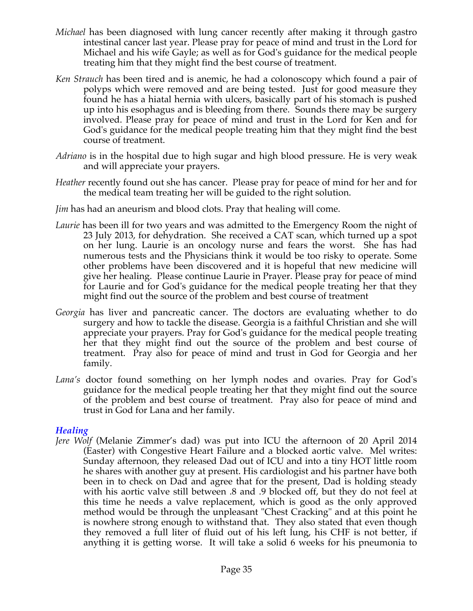- *Michael* has been diagnosed with lung cancer recently after making it through gastro intestinal cancer last year. Please pray for peace of mind and trust in the Lord for Michael and his wife Gayle; as well as for God's guidance for the medical people treating him that they might find the best course of treatment.
- *Ken Strauch* has been tired and is anemic, he had a colonoscopy which found a pair of polyps which were removed and are being tested. Just for good measure they found he has a hiatal hernia with ulcers, basically part of his stomach is pushed up into his esophagus and is bleeding from there. Sounds there may be surgery involved. Please pray for peace of mind and trust in the Lord for Ken and for God's guidance for the medical people treating him that they might find the best course of treatment.
- *Adriano* is in the hospital due to high sugar and high blood pressure. He is very weak and will appreciate your prayers.
- *Heather* recently found out she has cancer. Please pray for peace of mind for her and for the medical team treating her will be guided to the right solution.
- *Jim* has had an aneurism and blood clots. Pray that healing will come.
- *Laurie* has been ill for two years and was admitted to the Emergency Room the night of 23 July 2013, for dehydration. She received a CAT scan, which turned up a spot on her lung. Laurie is an oncology nurse and fears the worst. She has had numerous tests and the Physicians think it would be too risky to operate. Some other problems have been discovered and it is hopeful that new medicine will give her healing. Please continue Laurie in Prayer. Please pray for peace of mind for Laurie and for God's guidance for the medical people treating her that they might find out the source of the problem and best course of treatment
- *Georgia* has liver and pancreatic cancer. The doctors are evaluating whether to do surgery and how to tackle the disease. Georgia is a faithful Christian and she will appreciate your prayers. Pray for God's guidance for the medical people treating her that they might find out the source of the problem and best course of treatment. Pray also for peace of mind and trust in God for Georgia and her family.
- *Lana's* doctor found something on her lymph nodes and ovaries. Pray for God's guidance for the medical people treating her that they might find out the source of the problem and best course of treatment. Pray also for peace of mind and trust in God for Lana and her family.

# *Healing*

*Jere Wolf* (Melanie Zimmer's dad) was put into ICU the afternoon of 20 April 2014 (Easter) with Congestive Heart Failure and a blocked aortic valve. Mel writes: Sunday afternoon, they released Dad out of ICU and into a tiny HOT little room he shares with another guy at present. His cardiologist and his partner have both been in to check on Dad and agree that for the present, Dad is holding steady with his aortic valve still between .8 and .9 blocked off, but they do not feel at this time he needs a valve replacement, which is good as the only approved method would be through the unpleasant "Chest Cracking" and at this point he is nowhere strong enough to withstand that. They also stated that even though they removed a full liter of fluid out of his left lung, his CHF is not better, if anything it is getting worse. It will take a solid 6 weeks for his pneumonia to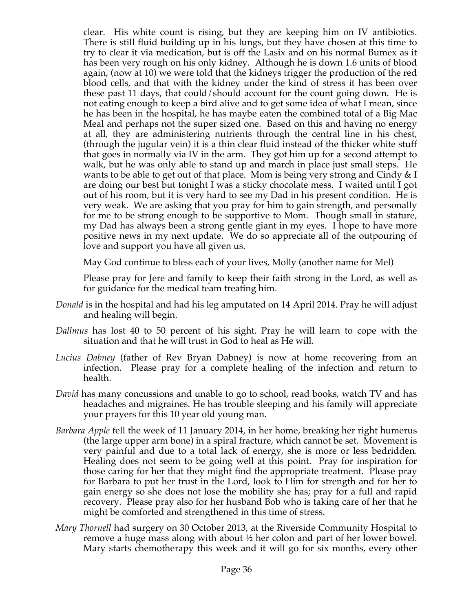clear. His white count is rising, but they are keeping him on IV antibiotics. There is still fluid building up in his lungs, but they have chosen at this time to try to clear it via medication, but is off the Lasix and on his normal Bumex as it has been very rough on his only kidney. Although he is down 1.6 units of blood again, (now at 10) we were told that the kidneys trigger the production of the red blood cells, and that with the kidney under the kind of stress it has been over these past 11 days, that could/should account for the count going down. He is not eating enough to keep a bird alive and to get some idea of what I mean, since he has been in the hospital, he has maybe eaten the combined total of a Big Mac Meal and perhaps not the super sized one. Based on this and having no energy at all, they are administering nutrients through the central line in his chest, (through the jugular vein) it is a thin clear fluid instead of the thicker white stuff that goes in normally via IV in the arm. They got him up for a second attempt to walk, but he was only able to stand up and march in place just small steps. He wants to be able to get out of that place. Mom is being very strong and Cindy & I are doing our best but tonight I was a sticky chocolate mess. I waited until I got out of his room, but it is very hard to see my Dad in his present condition. He is very weak. We are asking that you pray for him to gain strength, and personally for me to be strong enough to be supportive to Mom. Though small in stature, my Dad has always been a strong gentle giant in my eyes. I hope to have more positive news in my next update. We do so appreciate all of the outpouring of love and support you have all given us.

May God continue to bless each of your lives, Molly (another name for Mel)

Please pray for Jere and family to keep their faith strong in the Lord, as well as for guidance for the medical team treating him.

- *Donald* is in the hospital and had his leg amputated on 14 April 2014. Pray he will adjust and healing will begin.
- *Dallmus* has lost 40 to 50 percent of his sight. Pray he will learn to cope with the situation and that he will trust in God to heal as He will.
- *Lucius Dabney* (father of Rev Bryan Dabney) is now at home recovering from an infection. Please pray for a complete healing of the infection and return to health.
- *David* has many concussions and unable to go to school, read books, watch TV and has headaches and migraines. He has trouble sleeping and his family will appreciate your prayers for this 10 year old young man.
- *Barbara Apple* fell the week of 11 January 2014, in her home, breaking her right humerus (the large upper arm bone) in a spiral fracture, which cannot be set. Movement is very painful and due to a total lack of energy, she is more or less bedridden. Healing does not seem to be going well at this point. Pray for inspiration for those caring for her that they might find the appropriate treatment. Please pray for Barbara to put her trust in the Lord, look to Him for strength and for her to gain energy so she does not lose the mobility she has; pray for a full and rapid recovery. Please pray also for her husband Bob who is taking care of her that he might be comforted and strengthened in this time of stress.
- *Mary Thornell* had surgery on 30 October 2013, at the Riverside Community Hospital to remove a huge mass along with about ½ her colon and part of her lower bowel. Mary starts chemotherapy this week and it will go for six months, every other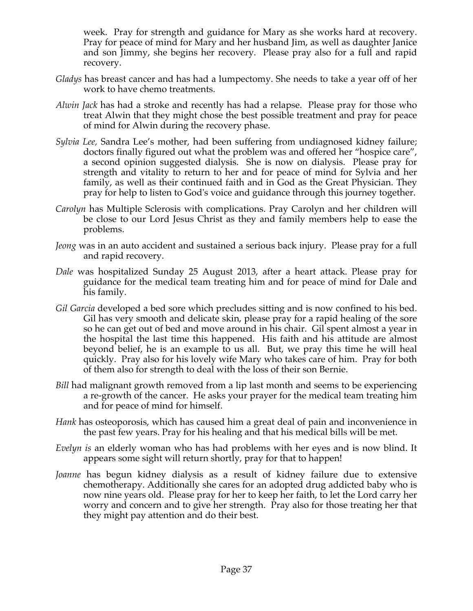week. Pray for strength and guidance for Mary as she works hard at recovery. Pray for peace of mind for Mary and her husband Jim, as well as daughter Janice and son Jimmy, she begins her recovery. Please pray also for a full and rapid recovery.

- *Gladys* has breast cancer and has had a lumpectomy. She needs to take a year off of her work to have chemo treatments.
- *Alwin Jack* has had a stroke and recently has had a relapse. Please pray for those who treat Alwin that they might chose the best possible treatment and pray for peace of mind for Alwin during the recovery phase.
- *Sylvia Lee,* Sandra Lee's mother, had been suffering from undiagnosed kidney failure; doctors finally figured out what the problem was and offered her "hospice care", a second opinion suggested dialysis. She is now on dialysis. Please pray for strength and vitality to return to her and for peace of mind for Sylvia and her family, as well as their continued faith and in God as the Great Physician. They pray for help to listen to God's voice and guidance through this journey together.
- *Carolyn* has Multiple Sclerosis with complications. Pray Carolyn and her children will be close to our Lord Jesus Christ as they and family members help to ease the problems.
- *Jeong* was in an auto accident and sustained a serious back injury. Please pray for a full and rapid recovery.
- *Dale* was hospitalized Sunday 25 August 2013, after a heart attack. Please pray for guidance for the medical team treating him and for peace of mind for Dale and his family.
- *Gil Garcia* developed a bed sore which precludes sitting and is now confined to his bed. Gil has very smooth and delicate skin, please pray for a rapid healing of the sore so he can get out of bed and move around in his chair. Gil spent almost a year in the hospital the last time this happened. His faith and his attitude are almost beyond belief, he is an example to us all. But, we pray this time he will heal quickly. Pray also for his lovely wife Mary who takes care of him. Pray for both of them also for strength to deal with the loss of their son Bernie.
- *Bill* had malignant growth removed from a lip last month and seems to be experiencing a re-growth of the cancer. He asks your prayer for the medical team treating him and for peace of mind for himself.
- *Hank* has osteoporosis, which has caused him a great deal of pain and inconvenience in the past few years. Pray for his healing and that his medical bills will be met.
- *Evelyn is* an elderly woman who has had problems with her eyes and is now blind. It appears some sight will return shortly, pray for that to happen!
- *Joanne* has begun kidney dialysis as a result of kidney failure due to extensive chemotherapy. Additionally she cares for an adopted drug addicted baby who is now nine years old. Please pray for her to keep her faith, to let the Lord carry her worry and concern and to give her strength. Pray also for those treating her that they might pay attention and do their best.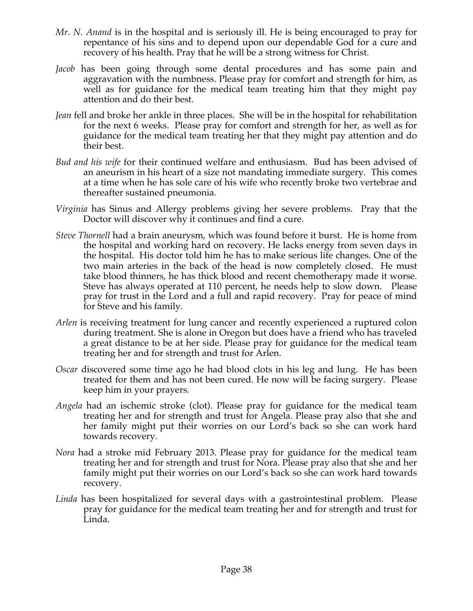- *Mr. N. Anand* is in the hospital and is seriously ill. He is being encouraged to pray for repentance of his sins and to depend upon our dependable God for a cure and recovery of his health. Pray that he will be a strong witness for Christ.
- *Jacob* has been going through some dental procedures and has some pain and aggravation with the numbness. Please pray for comfort and strength for him, as well as for guidance for the medical team treating him that they might pay attention and do their best.
- *Jean* fell and broke her ankle in three places. She will be in the hospital for rehabilitation for the next 6 weeks. Please pray for comfort and strength for her, as well as for guidance for the medical team treating her that they might pay attention and do their best.
- *Bud and his wife* for their continued welfare and enthusiasm. Bud has been advised of an aneurism in his heart of a size not mandating immediate surgery. This comes at a time when he has sole care of his wife who recently broke two vertebrae and thereafter sustained pneumonia.
- *Virginia* has Sinus and Allergy problems giving her severe problems. Pray that the Doctor will discover why it continues and find a cure.
- *Steve Thornell* had a brain aneurysm, which was found before it burst. He is home from the hospital and working hard on recovery. He lacks energy from seven days in the hospital. His doctor told him he has to make serious life changes. One of the two main arteries in the back of the head is now completely closed. He must take blood thinners, he has thick blood and recent chemotherapy made it worse. Steve has always operated at 110 percent, he needs help to slow down. Please pray for trust in the Lord and a full and rapid recovery. Pray for peace of mind for Steve and his family.
- *Arlen* is receiving treatment for lung cancer and recently experienced a ruptured colon during treatment. She is alone in Oregon but does have a friend who has traveled a great distance to be at her side. Please pray for guidance for the medical team treating her and for strength and trust for Arlen.
- *Oscar* discovered some time ago he had blood clots in his leg and lung. He has been treated for them and has not been cured. He now will be facing surgery. Please keep him in your prayers.
- *Angela* had an ischemic stroke (clot). Please pray for guidance for the medical team treating her and for strength and trust for Angela. Please pray also that she and her family might put their worries on our Lord's back so she can work hard towards recovery.
- *Nora* had a stroke mid February 2013. Please pray for guidance for the medical team treating her and for strength and trust for Nora. Please pray also that she and her family might put their worries on our Lord's back so she can work hard towards recovery.
- *Linda* has been hospitalized for several days with a gastrointestinal problem. Please pray for guidance for the medical team treating her and for strength and trust for Linda.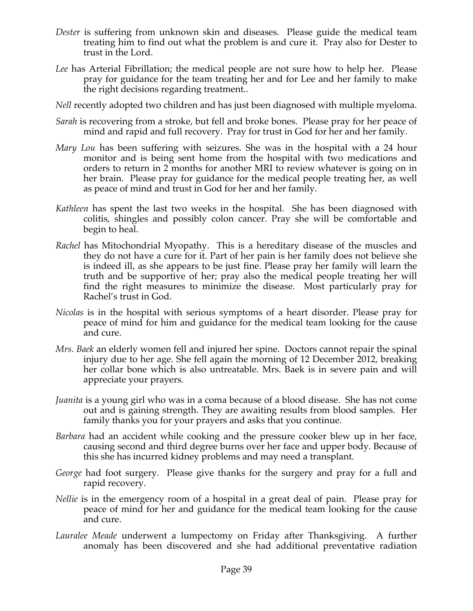- *Dester* is suffering from unknown skin and diseases. Please guide the medical team treating him to find out what the problem is and cure it. Pray also for Dester to trust in the Lord.
- *Lee* has Arterial Fibrillation; the medical people are not sure how to help her. Please pray for guidance for the team treating her and for Lee and her family to make the right decisions regarding treatment..
- *Nell* recently adopted two children and has just been diagnosed with multiple myeloma.
- *Sarah* is recovering from a stroke, but fell and broke bones. Please pray for her peace of mind and rapid and full recovery. Pray for trust in God for her and her family.
- *Mary Lou* has been suffering with seizures. She was in the hospital with a 24 hour monitor and is being sent home from the hospital with two medications and orders to return in 2 months for another MRI to review whatever is going on in her brain. Please pray for guidance for the medical people treating her, as well as peace of mind and trust in God for her and her family.
- *Kathleen* has spent the last two weeks in the hospital. She has been diagnosed with colitis, shingles and possibly colon cancer. Pray she will be comfortable and begin to heal.
- *Rachel* has Mitochondrial Myopathy. This is a hereditary disease of the muscles and they do not have a cure for it. Part of her pain is her family does not believe she is indeed ill, as she appears to be just fine. Please pray her family will learn the truth and be supportive of her; pray also the medical people treating her will find the right measures to minimize the disease. Most particularly pray for Rachel's trust in God.
- *Nicolas* is in the hospital with serious symptoms of a heart disorder. Please pray for peace of mind for him and guidance for the medical team looking for the cause and cure.
- *Mrs. Baek* an elderly women fell and injured her spine. Doctors cannot repair the spinal injury due to her age. She fell again the morning of 12 December 2012, breaking her collar bone which is also untreatable. Mrs. Baek is in severe pain and will appreciate your prayers.
- *Juanita* is a young girl who was in a coma because of a blood disease. She has not come out and is gaining strength. They are awaiting results from blood samples. Her family thanks you for your prayers and asks that you continue.
- *Barbara* had an accident while cooking and the pressure cooker blew up in her face, causing second and third degree burns over her face and upper body. Because of this she has incurred kidney problems and may need a transplant.
- *George* had foot surgery. Please give thanks for the surgery and pray for a full and rapid recovery.
- *Nellie* is in the emergency room of a hospital in a great deal of pain. Please pray for peace of mind for her and guidance for the medical team looking for the cause and cure.
- *Lauralee Meade* underwent a lumpectomy on Friday after Thanksgiving. A further anomaly has been discovered and she had additional preventative radiation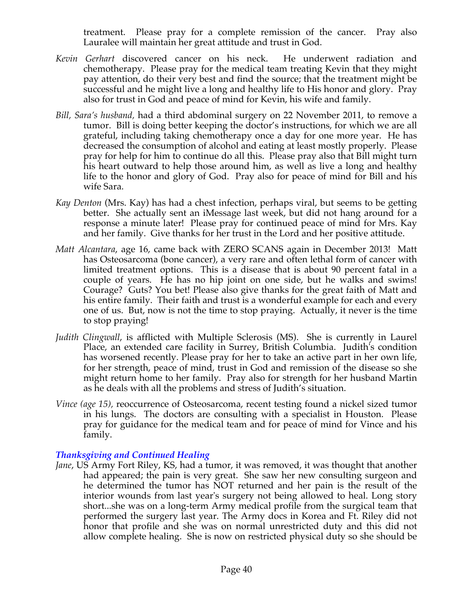treatment. Please pray for a complete remission of the cancer. Pray also Lauralee will maintain her great attitude and trust in God.

- *Kevin Gerhart* discovered cancer on his neck. He underwent radiation and chemotherapy. Please pray for the medical team treating Kevin that they might pay attention, do their very best and find the source; that the treatment might be successful and he might live a long and healthy life to His honor and glory. Pray also for trust in God and peace of mind for Kevin, his wife and family.
- *Bill, Sara's husband,* had a third abdominal surgery on 22 November 2011, to remove a tumor. Bill is doing better keeping the doctor's instructions, for which we are all grateful, including taking chemotherapy once a day for one more year. He has decreased the consumption of alcohol and eating at least mostly properly. Please pray for help for him to continue do all this. Please pray also that Bill might turn his heart outward to help those around him, as well as live a long and healthy life to the honor and glory of God. Pray also for peace of mind for Bill and his wife Sara.
- *Kay Denton* (Mrs. Kay) has had a chest infection, perhaps viral, but seems to be getting better. She actually sent an iMessage last week, but did not hang around for a response a minute later! Please pray for continued peace of mind for Mrs. Kay and her family. Give thanks for her trust in the Lord and her positive attitude.
- *Matt Alcantara*, age 16, came back with ZERO SCANS again in December 2013! Matt has Osteosarcoma (bone cancer), a very rare and often lethal form of cancer with limited treatment options. This is a disease that is about 90 percent fatal in a couple of years. He has no hip joint on one side, but he walks and swims! Courage? Guts? You bet! Please also give thanks for the great faith of Matt and his entire family. Their faith and trust is a wonderful example for each and every one of us. But, now is not the time to stop praying. Actually, it never is the time to stop praying!
- *Judith Clingwall*, is afflicted with Multiple Sclerosis (MS). She is currently in Laurel Place, an extended care facility in Surrey, British Columbia. Judith's condition has worsened recently. Please pray for her to take an active part in her own life, for her strength, peace of mind, trust in God and remission of the disease so she might return home to her family. Pray also for strength for her husband Martin as he deals with all the problems and stress of Judith's situation.
- *Vince (age 15),* reoccurrence of Osteosarcoma, recent testing found a nickel sized tumor in his lungs. The doctors are consulting with a specialist in Houston. Please pray for guidance for the medical team and for peace of mind for Vince and his family.

# *Thanksgiving and Continued Healing*

*Jane*, US Army Fort Riley, KS, had a tumor, it was removed, it was thought that another had appeared; the pain is very great. She saw her new consulting surgeon and he determined the tumor has NOT returned and her pain is the result of the interior wounds from last year's surgery not being allowed to heal. Long story short...she was on a long-term Army medical profile from the surgical team that performed the surgery last year. The Army docs in Korea and Ft. Riley did not honor that profile and she was on normal unrestricted duty and this did not allow complete healing. She is now on restricted physical duty so she should be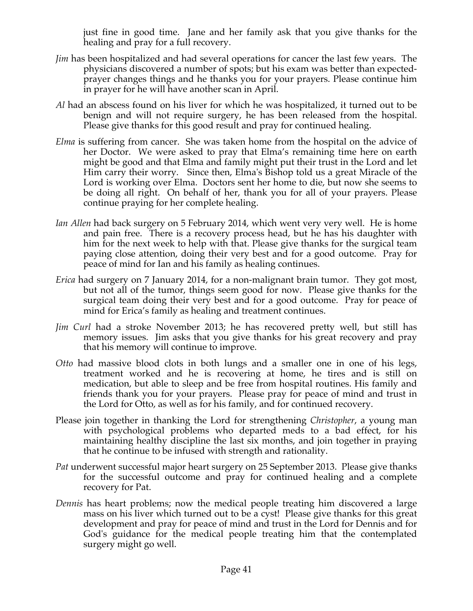just fine in good time. Jane and her family ask that you give thanks for the healing and pray for a full recovery.

- *Jim* has been hospitalized and had several operations for cancer the last few years. The physicians discovered a number of spots; but his exam was better than expectedprayer changes things and he thanks you for your prayers. Please continue him in prayer for he will have another scan in April.
- *Al* had an abscess found on his liver for which he was hospitalized, it turned out to be benign and will not require surgery, he has been released from the hospital. Please give thanks for this good result and pray for continued healing.
- *Elma* is suffering from cancer. She was taken home from the hospital on the advice of her Doctor. We were asked to pray that Elma's remaining time here on earth might be good and that Elma and family might put their trust in the Lord and let Him carry their worry. Since then, Elma's Bishop told us a great Miracle of the Lord is working over Elma. Doctors sent her home to die, but now she seems to be doing all right. On behalf of her, thank you for all of your prayers. Please continue praying for her complete healing.
- *Ian Allen* had back surgery on 5 February 2014, which went very very well. He is home and pain free. There is a recovery process head, but he has his daughter with him for the next week to help with that. Please give thanks for the surgical team paying close attention, doing their very best and for a good outcome. Pray for peace of mind for Ian and his family as healing continues.
- *Erica* had surgery on 7 January 2014, for a non-malignant brain tumor. They got most, but not all of the tumor, things seem good for now. Please give thanks for the surgical team doing their very best and for a good outcome. Pray for peace of mind for Erica's family as healing and treatment continues.
- *Jim Curl* had a stroke November 2013; he has recovered pretty well, but still has memory issues. Jim asks that you give thanks for his great recovery and pray that his memory will continue to improve.
- *Otto* had massive blood clots in both lungs and a smaller one in one of his legs, treatment worked and he is recovering at home, he tires and is still on medication, but able to sleep and be free from hospital routines. His family and friends thank you for your prayers. Please pray for peace of mind and trust in the Lord for Otto, as well as for his family, and for continued recovery.
- Please join together in thanking the Lord for strengthening *Christopher*, a young man with psychological problems who departed meds to a bad effect, for his maintaining healthy discipline the last six months, and join together in praying that he continue to be infused with strength and rationality.
- *Pat* underwent successful major heart surgery on 25 September 2013. Please give thanks for the successful outcome and pray for continued healing and a complete recovery for Pat.
- *Dennis* has heart problems; now the medical people treating him discovered a large mass on his liver which turned out to be a cyst! Please give thanks for this great development and pray for peace of mind and trust in the Lord for Dennis and for God's guidance for the medical people treating him that the contemplated surgery might go well.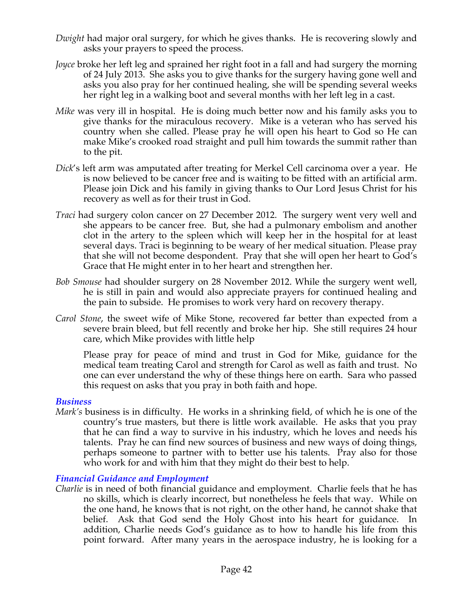- *Dwight* had major oral surgery, for which he gives thanks. He is recovering slowly and asks your prayers to speed the process.
- *Joyce* broke her left leg and sprained her right foot in a fall and had surgery the morning of 24 July 2013. She asks you to give thanks for the surgery having gone well and asks you also pray for her continued healing, she will be spending several weeks her right leg in a walking boot and several months with her left leg in a cast.
- *Mike* was very ill in hospital. He is doing much better now and his family asks you to give thanks for the miraculous recovery. Mike is a veteran who has served his country when she called. Please pray he will open his heart to God so He can make Mike's crooked road straight and pull him towards the summit rather than to the pit.
- *Dick*'s left arm was amputated after treating for Merkel Cell carcinoma over a year. He is now believed to be cancer free and is waiting to be fitted with an artificial arm. Please join Dick and his family in giving thanks to Our Lord Jesus Christ for his recovery as well as for their trust in God.
- *Traci* had surgery colon cancer on 27 December 2012. The surgery went very well and she appears to be cancer free. But, she had a pulmonary embolism and another clot in the artery to the spleen which will keep her in the hospital for at least several days. Traci is beginning to be weary of her medical situation. Please pray that she will not become despondent. Pray that she will open her heart to God's Grace that He might enter in to her heart and strengthen her.
- *Bob Smouse* had shoulder surgery on 28 November 2012. While the surgery went well, he is still in pain and would also appreciate prayers for continued healing and the pain to subside. He promises to work very hard on recovery therapy.
- *Carol Stone*, the sweet wife of Mike Stone, recovered far better than expected from a severe brain bleed, but fell recently and broke her hip. She still requires 24 hour care, which Mike provides with little help

Please pray for peace of mind and trust in God for Mike, guidance for the medical team treating Carol and strength for Carol as well as faith and trust. No one can ever understand the why of these things here on earth. Sara who passed this request on asks that you pray in both faith and hope.

### *Business*

*Mark's* business is in difficulty. He works in a shrinking field, of which he is one of the country's true masters, but there is little work available. He asks that you pray that he can find a way to survive in his industry, which he loves and needs his talents. Pray he can find new sources of business and new ways of doing things, perhaps someone to partner with to better use his talents. Pray also for those who work for and with him that they might do their best to help.

### *Financial Guidance and Employment*

*Charlie* is in need of both financial guidance and employment. Charlie feels that he has no skills, which is clearly incorrect, but nonetheless he feels that way. While on the one hand, he knows that is not right, on the other hand, he cannot shake that belief. Ask that God send the Holy Ghost into his heart for guidance. In addition, Charlie needs God's guidance as to how to handle his life from this point forward. After many years in the aerospace industry, he is looking for a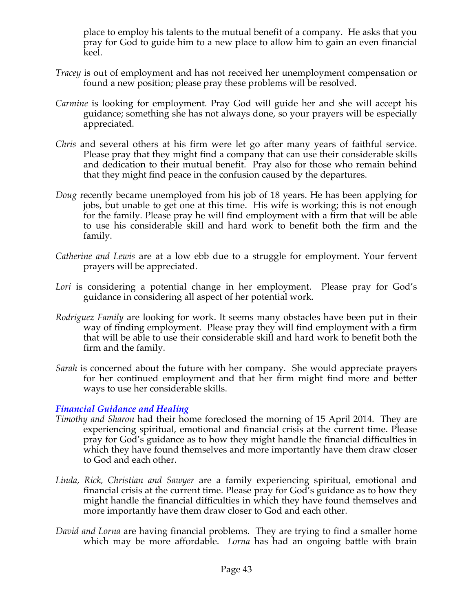place to employ his talents to the mutual benefit of a company. He asks that you pray for God to guide him to a new place to allow him to gain an even financial keel.

- *Tracey* is out of employment and has not received her unemployment compensation or found a new position; please pray these problems will be resolved.
- *Carmine* is looking for employment. Pray God will guide her and she will accept his guidance; something she has not always done, so your prayers will be especially appreciated.
- *Chris* and several others at his firm were let go after many years of faithful service. Please pray that they might find a company that can use their considerable skills and dedication to their mutual benefit. Pray also for those who remain behind that they might find peace in the confusion caused by the departures.
- *Doug* recently became unemployed from his job of 18 years. He has been applying for jobs, but unable to get one at this time. His wife is working; this is not enough for the family. Please pray he will find employment with a firm that will be able to use his considerable skill and hard work to benefit both the firm and the family.
- *Catherine and Lewis* are at a low ebb due to a struggle for employment. Your fervent prayers will be appreciated.
- *Lori* is considering a potential change in her employment. Please pray for God's guidance in considering all aspect of her potential work.
- *Rodriguez Family* are looking for work. It seems many obstacles have been put in their way of finding employment. Please pray they will find employment with a firm that will be able to use their considerable skill and hard work to benefit both the firm and the family.
- *Sarah* is concerned about the future with her company. She would appreciate prayers for her continued employment and that her firm might find more and better ways to use her considerable skills.

### *Financial Guidance and Healing*

- *Timothy and Sharon* had their home foreclosed the morning of 15 April 2014. They are experiencing spiritual, emotional and financial crisis at the current time. Please pray for God's guidance as to how they might handle the financial difficulties in which they have found themselves and more importantly have them draw closer to God and each other.
- *Linda, Rick, Christian and Sawyer* are a family experiencing spiritual, emotional and financial crisis at the current time. Please pray for God's guidance as to how they might handle the financial difficulties in which they have found themselves and more importantly have them draw closer to God and each other.
- *David and Lorna* are having financial problems. They are trying to find a smaller home which may be more affordable. *Lorna* has had an ongoing battle with brain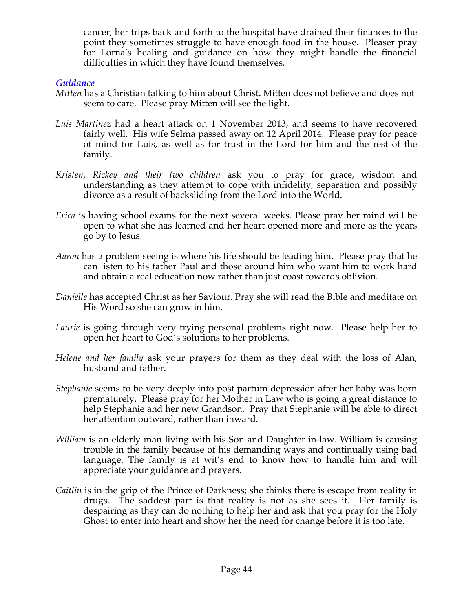cancer, her trips back and forth to the hospital have drained their finances to the point they sometimes struggle to have enough food in the house. Pleaser pray for Lorna's healing and guidance on how they might handle the financial difficulties in which they have found themselves.

### *Guidance*

- *Mitten* has a Christian talking to him about Christ. Mitten does not believe and does not seem to care. Please pray Mitten will see the light.
- *Luis Martinez* had a heart attack on 1 November 2013, and seems to have recovered fairly well. His wife Selma passed away on 12 April 2014. Please pray for peace of mind for Luis, as well as for trust in the Lord for him and the rest of the family.
- *Kristen, Rickey and their two children* ask you to pray for grace, wisdom and understanding as they attempt to cope with infidelity, separation and possibly divorce as a result of backsliding from the Lord into the World.
- *Erica* is having school exams for the next several weeks. Please pray her mind will be open to what she has learned and her heart opened more and more as the years go by to Jesus.
- *Aaron* has a problem seeing is where his life should be leading him. Please pray that he can listen to his father Paul and those around him who want him to work hard and obtain a real education now rather than just coast towards oblivion.
- *Danielle* has accepted Christ as her Saviour. Pray she will read the Bible and meditate on His Word so she can grow in him.
- *Laurie* is going through very trying personal problems right now. Please help her to open her heart to God's solutions to her problems.
- *Helene and her family* ask your prayers for them as they deal with the loss of Alan, husband and father.
- *Stephanie* seems to be very deeply into post partum depression after her baby was born prematurely. Please pray for her Mother in Law who is going a great distance to help Stephanie and her new Grandson. Pray that Stephanie will be able to direct her attention outward, rather than inward.
- *William* is an elderly man living with his Son and Daughter in-law. William is causing trouble in the family because of his demanding ways and continually using bad language. The family is at wit's end to know how to handle him and will appreciate your guidance and prayers.
- *Caitlin* is in the grip of the Prince of Darkness; she thinks there is escape from reality in drugs. The saddest part is that reality is not as she sees it. Her family is despairing as they can do nothing to help her and ask that you pray for the Holy Ghost to enter into heart and show her the need for change before it is too late.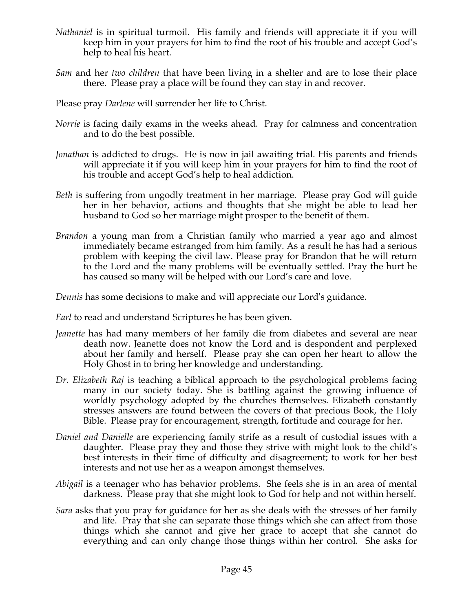- *Nathaniel* is in spiritual turmoil. His family and friends will appreciate it if you will keep him in your prayers for him to find the root of his trouble and accept God's help to heal his heart.
- *Sam* and her *two children* that have been living in a shelter and are to lose their place there. Please pray a place will be found they can stay in and recover.
- Please pray *Darlene* will surrender her life to Christ.
- *Norrie* is facing daily exams in the weeks ahead. Pray for calmness and concentration and to do the best possible.
- *Jonathan* is addicted to drugs. He is now in jail awaiting trial. His parents and friends will appreciate it if you will keep him in your prayers for him to find the root of his trouble and accept God's help to heal addiction.
- *Beth* is suffering from ungodly treatment in her marriage. Please pray God will guide her in her behavior, actions and thoughts that she might be able to lead her husband to God so her marriage might prosper to the benefit of them.
- *Brandon* a young man from a Christian family who married a year ago and almost immediately became estranged from him family. As a result he has had a serious problem with keeping the civil law. Please pray for Brandon that he will return to the Lord and the many problems will be eventually settled. Pray the hurt he has caused so many will be helped with our Lord's care and love.

*Dennis* has some decisions to make and will appreciate our Lord's guidance.

*Earl* to read and understand Scriptures he has been given.

- *Jeanette* has had many members of her family die from diabetes and several are near death now. Jeanette does not know the Lord and is despondent and perplexed about her family and herself. Please pray she can open her heart to allow the Holy Ghost in to bring her knowledge and understanding.
- *Dr. Elizabeth Raj* is teaching a biblical approach to the psychological problems facing many in our society today. She is battling against the growing influence of worldly psychology adopted by the churches themselves. Elizabeth constantly stresses answers are found between the covers of that precious Book, the Holy Bible. Please pray for encouragement, strength, fortitude and courage for her.
- *Daniel and Danielle* are experiencing family strife as a result of custodial issues with a daughter. Please pray they and those they strive with might look to the child's best interests in their time of difficulty and disagreement; to work for her best interests and not use her as a weapon amongst themselves.
- *Abigail* is a teenager who has behavior problems. She feels she is in an area of mental darkness. Please pray that she might look to God for help and not within herself.
- *Sara* asks that you pray for guidance for her as she deals with the stresses of her family and life. Pray that she can separate those things which she can affect from those things which she cannot and give her grace to accept that she cannot do everything and can only change those things within her control. She asks for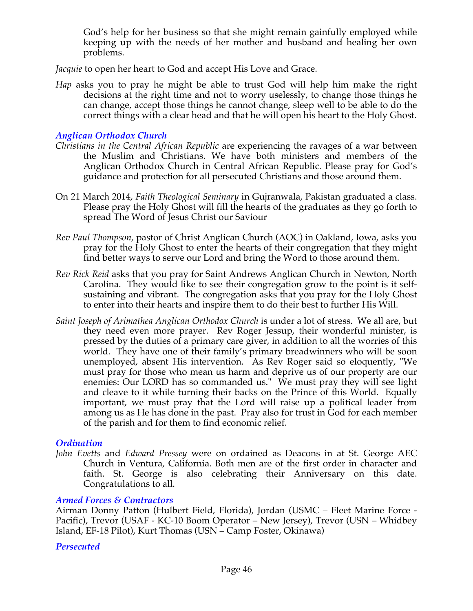God's help for her business so that she might remain gainfully employed while keeping up with the needs of her mother and husband and healing her own problems.

*Jacquie* to open her heart to God and accept His Love and Grace.

*Hap* asks you to pray he might be able to trust God will help him make the right decisions at the right time and not to worry uselessly, to change those things he can change, accept those things he cannot change, sleep well to be able to do the correct things with a clear head and that he will open his heart to the Holy Ghost.

### *Anglican Orthodox Church*

- *Christians in the Central African Republic* are experiencing the ravages of a war between the Muslim and Christians. We have both ministers and members of the Anglican Orthodox Church in Central African Republic. Please pray for God's guidance and protection for all persecuted Christians and those around them.
- On 21 March 2014, *Faith Theological Seminary* in Gujranwala, Pakistan graduated a class. Please pray the Holy Ghost will fill the hearts of the graduates as they go forth to spread The Word of Jesus Christ our Saviour
- *Rev Paul Thompson,* pastor of Christ Anglican Church (AOC) in Oakland, Iowa, asks you pray for the Holy Ghost to enter the hearts of their congregation that they might find better ways to serve our Lord and bring the Word to those around them.
- *Rev Rick Reid* asks that you pray for Saint Andrews Anglican Church in Newton, North Carolina. They would like to see their congregation grow to the point is it selfsustaining and vibrant. The congregation asks that you pray for the Holy Ghost to enter into their hearts and inspire them to do their best to further His Will.
- *Saint Joseph of Arimathea Anglican Orthodox Church* is under a lot of stress. We all are, but they need even more prayer. Rev Roger Jessup, their wonderful minister, is pressed by the duties of a primary care giver, in addition to all the worries of this world. They have one of their family's primary breadwinners who will be soon unemployed, absent His intervention. As Rev Roger said so eloquently, "We must pray for those who mean us harm and deprive us of our property are our enemies: Our LORD has so commanded us." We must pray they will see light and cleave to it while turning their backs on the Prince of this World. Equally important, we must pray that the Lord will raise up a political leader from among us as He has done in the past. Pray also for trust in God for each member of the parish and for them to find economic relief.

### *Ordination*

*John Evetts* and *Edward Pressey* were on ordained as Deacons in at St. George AEC Church in Ventura, California. Both men are of the first order in character and faith. St. George is also celebrating their Anniversary on this date. Congratulations to all.

### *Armed Forces & Contractors*

Airman Donny Patton (Hulbert Field, Florida), Jordan (USMC – Fleet Marine Force - Pacific), Trevor (USAF - KC-10 Boom Operator – New Jersey), Trevor (USN – Whidbey Island, EF-18 Pilot), Kurt Thomas (USN – Camp Foster, Okinawa)

### *Persecuted*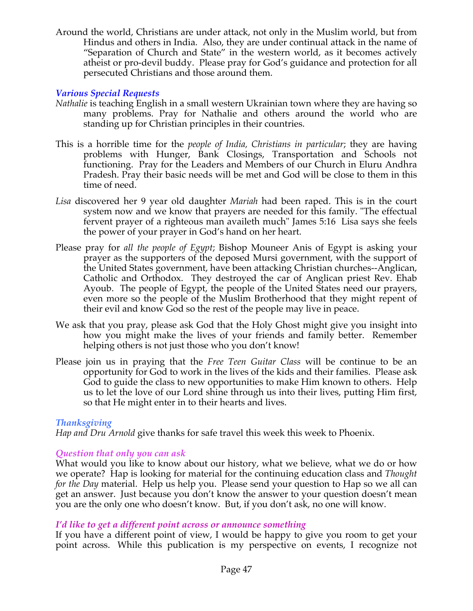Around the world, Christians are under attack, not only in the Muslim world, but from Hindus and others in India. Also, they are under continual attack in the name of "Separation of Church and State" in the western world, as it becomes actively atheist or pro-devil buddy. Please pray for God's guidance and protection for all persecuted Christians and those around them.

# *Various Special Requests*

- *Nathalie* is teaching English in a small western Ukrainian town where they are having so many problems. Pray for Nathalie and others around the world who are standing up for Christian principles in their countries.
- This is a horrible time for the *people of India, Christians in particular*; they are having problems with Hunger, Bank Closings, Transportation and Schools not functioning. Pray for the Leaders and Members of our Church in Eluru Andhra Pradesh. Pray their basic needs will be met and God will be close to them in this time of need.
- *Lisa* discovered her 9 year old daughter *Mariah* had been raped. This is in the court system now and we know that prayers are needed for this family. "The effectual fervent prayer of a righteous man availeth much" James 5:16 Lisa says she feels the power of your prayer in God's hand on her heart.
- Please pray for *all the people of Egypt*; Bishop Mouneer Anis of Egypt is asking your prayer as the supporters of the deposed Mursi government, with the support of the United States government, have been attacking Christian churches--Anglican, Catholic and Orthodox. They destroyed the car of Anglican priest Rev. Ehab Ayoub. The people of Egypt, the people of the United States need our prayers, even more so the people of the Muslim Brotherhood that they might repent of their evil and know God so the rest of the people may live in peace.
- We ask that you pray, please ask God that the Holy Ghost might give you insight into how you might make the lives of your friends and family better. Remember helping others is not just those who you don't know!
- Please join us in praying that the *Free Teen Guitar Class* will be continue to be an opportunity for God to work in the lives of the kids and their families. Please ask God to guide the class to new opportunities to make Him known to others. Help us to let the love of our Lord shine through us into their lives, putting Him first, so that He might enter in to their hearts and lives.

# *Thanksgiving*

*Hap and Dru Arnold* give thanks for safe travel this week this week to Phoenix.

# *Question that only you can ask*

What would you like to know about our history, what we believe, what we do or how we operate? Hap is looking for material for the continuing education class and *Thought for the Day* material. Help us help you. Please send your question to Hap so we all can get an answer. Just because you don't know the answer to your question doesn't mean you are the only one who doesn't know. But, if you don't ask, no one will know.

# *I'd like to get a different point across or announce something*

If you have a different point of view, I would be happy to give you room to get your point across. While this publication is my perspective on events, I recognize not